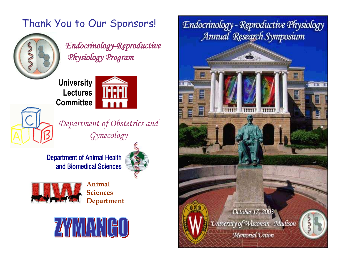## Thank You to Our Sponsors!



*Endocrinology-Reproductive Physiology Program* 

**University Lectures Committee**



*Department of Obstetrics and Gynecology*

Department of Animal Health and Biomedical Sciences



 $0.12333$ 



**Animal Sciences Department**



Endocrinology - Reproductive Physiology Annual Research Symposium

October 17, 2003

University of Wisconsin - Madison

Memorial Union

U MILLE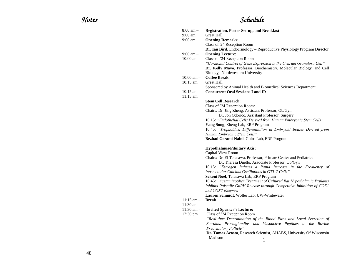## *Notes Schedule*

| $8:00 \text{ am} -$                    | <b>Registration, Poster Set-up, and Breakfast</b>                                                                    |
|----------------------------------------|----------------------------------------------------------------------------------------------------------------------|
| $9:00 \text{ am}$<br>$9:00 \text{ am}$ | <b>Great Hall</b><br><b>Opening Remarks:</b>                                                                         |
|                                        | Class of '24 Reception Room                                                                                          |
|                                        | Dr. Ian Bird, Endocrinology - Reproductive Physiology Program Director                                               |
| $9:00 \text{ am} -$                    | <b>Opening Lecture:</b>                                                                                              |
| 10:00 am                               | Class of '24 Reception Room                                                                                          |
|                                        | "Hormonal Control of Gene Expression in the Ovarian Granulosa Cell"                                                  |
|                                        | Dr. Kelly Mayo, Professor, Biochemistry, Molecular Biology, and Cell                                                 |
|                                        | Biology, Northwestern University                                                                                     |
| $10:00$ am $-$                         | <b>Coffee Break</b>                                                                                                  |
| $10:15 \text{ am}$                     | <b>Great Hall</b>                                                                                                    |
|                                        | Sponsored by Animal Health and Biomedical Sciences Department                                                        |
| $10:15$ am -                           | <b>Concurrent Oral Sessions I and II:</b>                                                                            |
| $11:15$ am.                            |                                                                                                                      |
|                                        | <b>Stem Cell Research:</b>                                                                                           |
|                                        | Class of '24 Reception Room:<br>Chairs: Dr. Jing Zheng, Assistant Professor, Ob/Gyn                                  |
|                                        | Dr. Jon Odorico, Assistant Professor, Surgery                                                                        |
|                                        | 10:15: "Endothelial Cells Derived from Human Embryonic Stem Cells"                                                   |
|                                        | Yang Song, Zheng Lab, ERP Program                                                                                    |
|                                        | 10:45: "Trophoblast Differentiation in Embryoid Bodies Derived from                                                  |
|                                        | Human Embryonic Stem Cells"                                                                                          |
|                                        | Bezhad Gerami-Naini, Golos Lab, ERP Program                                                                          |
|                                        | <b>Hypothalmus/Pituitary Axis:</b>                                                                                   |
|                                        | Capital View Room                                                                                                    |
|                                        | Chairs: Dr. Ei Terasawa, Professor, Primate Center and Pediatrics<br>Dr. Theresa Duello, Associate Professor, Ob/Gyn |
|                                        | 10:15: "Estrogen Induces a Rapid Increase in the Frequency of<br>Intracellular Calcium Oscillations in GT1-7 Cells"  |
|                                        | Sekoni Noel, Terasawa Lab, ERP Program                                                                               |
|                                        | 10:45: "Acetaminophen Treatment of Cultured Rat Hypothalamic Explants                                                |
|                                        | Inhibits Pulsatile GnRH Release through Competitive Inhibition of COX1                                               |
|                                        | and COX2 Enzymes"                                                                                                    |
|                                        | Lauren Schmidt, Woller Lab, UW-Whitewater                                                                            |
| $11:15$ am $-$                         | <b>Break</b>                                                                                                         |
| $11:30 \text{ am}$                     |                                                                                                                      |
| $11:30$ am -                           | <b>Invited Speaker's Lecture:</b>                                                                                    |
| 12:30 pm                               | Class of '24 Reception Room                                                                                          |
|                                        | "Real-time Determination of the Blood Flow and Local Secretion of                                                    |
|                                        | Steroids, Prostaglandins and Vasoactive Peptides in the Bovine<br>Preovulatory Follicle"                             |
|                                        | Dr. Tomas Acosta, Research Scientist, AHABS, University Of Wisconsin                                                 |
|                                        |                                                                                                                      |
|                                        | - Madison<br>$\mathbf{1}$                                                                                            |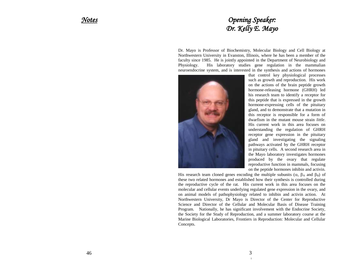### *Notes Opening Speaker: Dr. Kelly E. Mayo*

Dr. Mayo is Professor of Biochemistry, Molecular Biology and Cell Biology at Northwestern University in Evanston, Illinois, where he has been a member of the faculty since 1985. He is jointly appointed in the Department of Neurobiology and Physiology. His laboratory studies gene regulation in the mammalian neuroendocrine system, and is interested in the synthesis and actions of hormones



that control key physiological processes such as growth and reproduction. His work on the actions of the brain peptide growth hormone-releasing hormone (GHRH) led his research team to identify a receptor for this peptide that is expressed in the growth hormone-expressing cells of the pituitary gland, and to demonstrate that a mutation in this receptor is responsible for a form of dwarfism in the mutant mouse strain *little*. His current work in this area focuses on understanding the regulation of GHRH receptor gene expression in the pituitary gland and investigating the signaling pathways activated by the GHRH receptor in pituitary cells. A second research area in the Mayo laboratory investigates hormones produced by the ovary that regulate reproductive function in mammals, focusing on the peptide hormones inhibin and activin.

His research team cloned genes encoding the multiple subunits ( $\alpha$ ,  $\beta$ <sup>A</sup> and  $\beta$ <sup>B</sup>) of these two related hormones and established how their synthesis is controlled during the reproductive cycle of the rat. His current work in this area focuses on the molecular and cellular events underlying regulated gene expression in the ovary, and on animal models of pathophysiology related to inhibin and activin action. At Northwestern University, Dr Mayo is Director of the Center for Reproductive Science and Director of the Cellular and Molecular Basis of Disease Training Program. Nationally, he has significant involvement with the Endocrine Society, the Society for the Study of Reproduction, and a summer laboratory course at the Marine Biological Laboratories, Frontiers in Reproduction: Molecular and Cellular Concepts.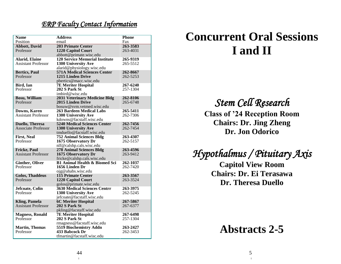### *ERP Faculty Contact Information*

| <b>Name</b>                         | <b>Address</b>                                  | <b>Phone</b> |
|-------------------------------------|-------------------------------------------------|--------------|
| Position                            | email                                           | Fax          |
| <b>Abbott</b> , David               | <b>203 Primate Center</b>                       | 263-3583     |
| Professor                           | 1220 Capitol Court                              | 263-4031     |
|                                     | abbott@primate.wisc.edu                         |              |
| <b>Alarid</b> , Elaine              | <b>120 Service Memorial Institute</b>           | 265-9319     |
| <b>Assistant Professor</b>          | 1300 University Ave                             | 265-5512     |
|                                     | alarid@physiology.wisc.edu                      |              |
| <b>Bertics, Paul</b>                | <b>571A Medical Sciences Center</b>             | 262-8667     |
| Professor                           | 1215 Linden Drive                               | 262-5253     |
|                                     | pbertics@macc.wisc.edu                          | 267-6240     |
| Bird, Ian<br>Professor              | <b>7E Meriter Hospital</b><br>202 S Park St     | 257-1304     |
|                                     | imbird@wisc.edu                                 |              |
| <b>Bosu, William</b>                | <b>2031 Veterinary Medicine Bldg</b>            | 262-8106     |
| Professor                           | 2015 Linden Drive                               | 265-6748     |
|                                     | bosuw@svm.vetmed.wisc.edu                       |              |
| Downs, Karen                        | <b>263 Bardeen Medical Labs</b>                 | 265-5411     |
| <b>Assistant Professor</b>          | 1300 University Ave                             | 262-7306     |
|                                     | kdowns@facstaff.wisc.edu                        |              |
| <b>Duello, Theresa</b>              | <b>5240 Medical Sciences Center</b>             | 262-7456     |
| <b>Associate Professor</b>          | <b>1300 University Ave</b>                      | 262-7454     |
|                                     | tmduello@facstaff.wisc.edu                      |              |
| <b>First, Neal</b>                  | <b>752 Animal Sciences Bldg</b>                 | 263-4307     |
| Professor                           | 1675 Observatory Dr                             | 262-5157     |
|                                     | nlf@calshp.cals.wisc.edu                        |              |
| <b>Fricke, Paul</b>                 | <b>278 Animal Sciences Bldg</b>                 | 263-4596     |
| <b>Assistant Professor</b>          | 1675 Observatory Dr                             | 263-9412     |
|                                     | fricke@calshp.cals.wisc.edu                     |              |
| <b>Ginther, Oliver</b>              | <b>B1 Animal Health &amp; Biomed Sci</b>        | 262-1037     |
| Professor                           | 1656 Linden Dr                                  | 262-7420     |
|                                     | ojg@ahabs.wisc.edu                              | 263-3567     |
| <b>Golos, Thaddeus</b><br>Professor | <b>115 Primate Center</b><br>1220 Capitol Court | 263-3524     |
|                                     | golos@primate.wisc.edu                          |              |
| Jefcoate, Colin                     | 3630 Medical Sciences Centrr                    | 263-3975     |
| Professor                           | 1300 University Ave                             | 262-5245     |
|                                     | jefcoate@facstaff.wisc.edu                      |              |
| <b>Kling, Pamela</b>                | <b>6C Meriter Hospital</b>                      | 267-5867     |
| <b>Assistant Professor</b>          | 202 S Park St                                   | 267-6377     |
|                                     | pkling@facstaff.wisc.edu                        |              |
| <b>Magness, Ronald</b>              | <b>7E Meriter Hospital</b>                      | 267-6498     |
| Professor                           | 202 S Park St                                   | 257-1304     |
|                                     | rmagness@facstaff.wisc.edu                      |              |
| <b>Martin, Thomas</b>               | 5519 Biochemistry Addn                          | 263-2427     |
| Professor                           | 433 Babcock Dr                                  | 262-3453     |
|                                     | tfmartin@facstaff.wisc.edu                      |              |

# **Concurrent Oral Sessions I and II**

*Stem Cell Research* 

**Class of '24 Reception Room Chairs: Dr. Jing Zheng Dr. Jon Odorico**

*Hypothalmus / Pituitary Axis* 

**Capitol View Room Chairs: Dr. Ei Terasawa Dr. Theresa Duello**

**Abstracts 2-5**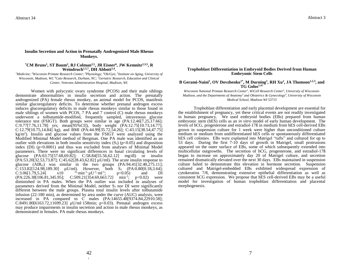#### **Insulin Secretion and Action in Prenatally Androgenized Male Rhesus Monkeys.**

#### **\*CM Bruns<sup>1</sup> , ST Baum<sup>2</sup> , RJ Colman2,5, JR Eisner<sup>6</sup> , JW Kemnitz2,3,5, R Weindruch1,5,7, DH Abbott2,4 .**

*<sup>1</sup>Medicine; <sup>2</sup>Wisconsin Primate Research Center; <sup>3</sup>Physiology; <sup>4</sup>Ob/Gyn; <sup>5</sup> Institute on Aging, University of Wisconsin, Madison, WI; <sup>6</sup>Cato Research, Durham, NC; <sup>7</sup>Geriatric Research, Education and Clinical Center, Veterans Administration Hospital, Madison, WI.*

Women with polycystic ovary syndrome (PCOS) and their male siblings demonstrate abnormalities in insulin secretion and action. The prenatally androgenized (PA) female rhesus monkey, an animal model for PCOS, manifests similar glucoregulatory deficits. To determine whether prenatal androgen excess induces glucoregulatory deficits in male rhesus monkeys similar to those found in male siblings of women with PCOS, 7 PA and 7 control (C) male rhesus monkeys underwent a tolbutamide-modified, frequently sampled, intravenous glucose tolerance test (FSIGT). Both groups were similar in age (PA:12.46[7.25,17.66]; C:9.77[7.76,11.78] yrs; mean[95%CI]), body weight (PA:12.75[10.73,14.77]; C:12.79[10.75,14.84] kg), and BMI (PA:44.99[35.72,54.26]; C:43.15[38.54,47.75] kg/m<sup>2</sup> ). Insulin and glucose values from the FSIGT were analyzed using the Modified Minimal Model method of Bergman. One PA male was identified as an outlier with elevations in both insulin sensitivity index  $(S<sub>1</sub>)$  (p<0.05) and disposition index  $(DI)$  ( $p<0.0001$ ) and thus was excluded from analyses of Minimal Model parameters. There were no significant differences in basal circulating levels of glucose (PA:63.75[57.68,69.82]; C:58.84[55.56,62.12] mg/dl) or insulin (PA:53.20[32.53,73.87]; C:45.62[28.43,62.82] µU/ml). The acute insulin response to glucose (AIR<sub>G</sub>) was similar in the two groups  $(PA:94.41[32.40,275.11])$ ; C:153.82[124.98,189.30]  $\mu$ U/ml). However, both S<sub>I</sub> (PA:0.80[0.18,3.64];<br>C:3.06[1.79.5.24] x10 <sup>-4</sup>·min<sup>-1</sup>·uU<sup>-1</sup>·ml<sup>-1</sup>: p<0.05) and DI  $C:3.06[1.79,5.24]$  $\cdot$ min<sup>-1</sup> $\cdot \mu$ U<sup>-1</sup> $\cdot$ ml<sup>-1</sup>  $p < 0.05$  $(PA: 226.38[106.81, 345.95]; \quad C: 509.21[354.69, 663.72] \quad \text{min}^{-1}; \quad p<0.02)$  were diminished in PA males. When the PA outlier was included in analyses of parameters derived from the Minimal Model, neither  $S_I$  nor DI were significantly different between the male groups. Plasma total insulin levels after tolbutamide infusion (22-180 min), as determined by area under the curve (AUC) analysis, were increased in PA compared to C males (PA:14655.48[9374.84,22910.58]; C:8491.80[6163.72,11699.23] µU/ml·158min; p<0.03). Prenatal androgen excess may produce impairments in insulin secretion and action in male rhesus monkeys, as demonstrated in females. PA male rhesus monkeys.

#### **Trophoblast Differentiation in Embryoid Bodies Derived from Human Embryonic Stem Cells**

**B Gerami-Naini<sup>1</sup> , OV Dovzhenko1\*, M Durning<sup>1</sup> , RH Xu<sup>2</sup> , JA Thomson1,2,3, and TG Golos1,4†**

*Wisconsin National Primate Research Center<sup>1</sup> , WiCell Research Center*<sup>2</sup> *, University of Wisconsin-Madison, and the Departments of Anatomy*<sup>3</sup> *and Obstetrics & Gynecology<sup>4</sup> , University of Wisconsin Medical School, Madison WI 53715*

Trophoblast differentiation and early placental development are essential for the establishment of pregnancy, yet these critical events are not readily investigated in human pregnancy. We used embryoid bodies (EBs) prepared from human embryonic stem (hES) cells as an *in vitro* model of early human development. The levels of hCG, progesterone and estradiol-17ß in medium from hES cell-derived EBs grown in suspension culture for 1 week were higher than unconditioned culture medium or medium from undifferentiated hES cells or spontaneously differentiated hES cell colonies. EBs were explanted into Matrigel "rafts" and cultured for up to 53 days. During the first 7-10 days of growth in Matrigel, small protrusions appeared on the outer surface of EBs, some of which subsequently extended into multicellular outgrowths. The secretion of hCG, progesterone, and estradiol-17ß began to increase on approximately day 20 of Matrigel culture, and secretion remained dramatically elevated over the next 30 days. EBs maintained in suspension culture failed to demonstrate this elevation in hormone secretion. Suspension cultured and Matrigel-embedded EBs exhibited widespread expression of cytokeratins 7/8, demonstrating extensive epithelial differentiation as well as consistent hCG expression. We propose that hES cell-derived EBs may be a useful model for investigation of human trophoblast differentiation and placental morphogenesis.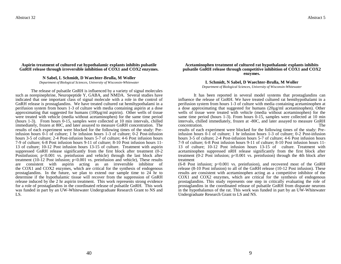#### **Aspirin treatment of cultured rat hypothalamic explants inhibits pulsatile GnRH release through irreversible inhibition of COX1 and COX2 enzymes.**

#### **N Sabel, L Schmidt, D Waechter-Brulla, M Woller**

*Department of Biological Sciences, University of Wisconsin-Whitewater*

The release of pulsatile GnRH is influenced by a variety of signal molecules such as norepinephrine, Neuropeptide Y, GABA, and NMDA. Several studies have indicated that one important class of signal molecule with a role in the control of GnRH release is prostaglandins. We have treated cultured rat hemihypothalami in a perifusion system from hours 1-3 of culture with media containing aspirin at a dose approximating that suggested for humans (100µg/ml aspirin). Other wells of tissue were treated with vehicle (media without acetaminophen) for the same time period (hours 1-3). From hours 0-15, samples were collected at 10 min intervals, chilled immediately, frozen at 80C, and later assayed to measure GnRH concentration. The results of each experiment were blocked for the following times of the study: Preinfusion hours 0-1 of culture; 1 hr infusion hours 1-3 of culture; 0-2 Post-infusion hours 3-5 of culture; 2-4 Post-infusion hours 5-7 of culture; 4-6 Post infusion hours 7-9 of culture; 6-8 Post infusion hours 9-11 of culture; 8-10 Post infusion hours 11- 13 of culture; 10-12 Post infusion hours 13-15 of culture. Treatment with aspirin suppressed GnRH release significantly from the first block after treatment (0-2 Postinfusion; p<0.001 vs. preinfusion and vehicle) through the last block after treatment (10-12 Post infusion; p<0.001 vs. preinfusion and vehicle), These results are consistent with aspirin acting as an irreversible inhibitor of the COX1 and COX2 enzymes, which are critical for the synthesis of endogenous prostaglandins. In the future, we plan to extend our sample time to 24 hr to determine if the hypothalamic tissue will recover from the suppression of GnRH release induced by the 2 hr aspirin treatment. This work represents strong evidence for a role of prostaglandins in the coordinated release of pulsatile GnRH. This work was funded in part by an UW-Whitewater Undergraduate Research Grant to NS and LS.

#### **Acetaminophen treatment of cultured rat hypothalamic explants inhibits pulsatile GnRH release through competitive inhibition of COX1 and COX2 enzymes.**

#### **L Schmidt, N Sabel, D Waechter-Brulla, M Woller**

*Department of Biological Sciences, University of Wisconsin-Whitewater*

It has been reported in several model systems that prostaglandins can influence the release of GnRH. We have treated cultured rat hemihypothalami in a perifusion system from hours 1-3 of culture with media containing acetaminophen at a dose approximating that suggested for humans  $(20\mu g/ml$  acetaminophen). Other wells of tissue were treated with vehicle (media without acetaminophen) for the same time period (hours 1-3). From hours 0-15, samples were collected at 10 min intervals, chilled immediately, frozen at -80C, and later assayed to measure GnRH concentration. The settlement of the settlement of the settlement of the settlement of the settlement of the settlement of the settlement of the settlement of the settlement of the settlement of the settlement of the settl

results of each experiment were blocked for the following times of the study: Preinfusion hours 0-1 of culture; 1 hr infusion hours 1-3 of culture; 0-2 Post-infusion hours 3-5 of culture; 2-4 Post-infusion hours 5-7 of culture; 4-6 Post infusion hours 7-9 of culture; 6-8 Post infusion hours 9-11 of culture; 8-10 Post infusion hours 11- 13 of culture; 10-12 Post infusion hours 13-15 of culture. Treatment with acetaminophen suppressed nRH release significantly from the first block after treatment  $(0-2 \text{ Post infusion}; p<0.001 \text{ vs. preinfusion})$  through the 4th block after treatment

 $(6-8$  Post infusion;  $p<0.001$  vs. preinfusion), and recovered most of the GnRH release (8-10 Post infusion) to all of the GnRH release (10-12 Post infusion). These results are consistent with acetaminophen acting as a competitive inhibitor of the COX1 and COX2 enzymes, which are critical for the synthesis of endogenous prostaglandins. This study represents one step in critically evaluating the role of prostaglandins in the coordinated release of pulsatile GnRH from disparate neurons in the hypothalamus of the rat. This work was funded in part by an UW-Whitewater Undergraduate Research Grant to LS and NS.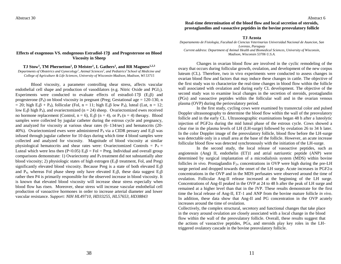#### **Effects of exogenous VS. endogenous Estradiol-17 and Progesterone on Blood Viscosity in Sheep**

**TJ Stow<sup>1</sup> , TM Phernetton<sup>1</sup> , D Meister<sup>1</sup> , L Gathers<sup>1</sup> , and RR Magness1,2,3** *Departments of Obstetrics and Gynecology<sup>1</sup> , Animal Sciences<sup>2</sup> , and Pediatrics<sup>3</sup>School of Medicine and College of Agriculture & Life Sciences, University of Wisconsin-Madison, Madison, WI 53715*

Blood viscosity, a parameter controlling shear stress, affects vascular endothelial cell shape and production of vasodilators (e.g. Nitric Oxide and PGI2). Experiments were conducted to evaluate effects of estradiol-17 $\beta$  (E<sub>2</sub> $\beta$ ) and progesterone ( $P_4$ ) on blood viscosity in pregnant (Preg; Gestational age = 120-130, n = 20; high E<sub>2</sub> $\beta$  + P<sub>4</sub>), follicular (Fol, n = 11; high E<sub>2</sub> $\beta$  low P<sub>4</sub>), luteal (Lut, n = 12; low E<sub>2</sub> $\beta$  high P<sub>4</sub>), and ovariectomized (n = 24) sheep. Ovariectomized ewes received no hormone replacement (Control,  $n = 6$ ),  $E_2\beta$  ( $n = 4$ ), or  $P_4$  ( $n = 4$ ) therapy. Blood samples were collected by jugular catheter during the estrous cycle and pregnancy, and analyzed for viscosity at various shear rates (6–134/sec) and hematocrits (20- 40%). Ovariectomized ewes were administered  $P_4$  via a CIDR pessary and  $E_2\beta$  was infused through jugular catheter for 10 days during which time 4 blood samples were collected and analyzed for viscosity. Magnitude of blood viscosity at similar physiological hematocrits and shear rates were: Ovariectomized Controls =  $P_4$  = Luteal which were less then  $(P<0.05)$   $E_2\beta = Fol = Preg$ . Individual and overall group comparisons demonstrate: 1) Ovariectomy and  $P_4$  treatment did not substantially alter blood viscosity; 2) physiologic states of high estrogen ( $E_2\beta$  treatment, Fol, and Preg) significantly elevated blood viscosity. Because Preg is a state of both elevated  $E_2\beta$ and P<sub>4</sub>, whereas Fol phase sheep only have elevated  $E_2\beta$ , these data suggest  $E_2\beta$ rather then P4 is primarily responsible for the observed increase in blood viscosity. It is known that elevated blood viscosity will increase shear stress especially when blood flow has risen. Moreover, shear stress will increase vascular endothelial cell production of vasoactive hormones in order to increase arterial diameter and lower vascular resistance. *Support: NIH HL49710, HD33255, HL57653, HD38843*

Abstract 6

#### **Real-time determination of the blood flow and local secretion of steroids, prostaglandins and vasoactive peptides in the bovine preovulatory follicle**

**TJ Acosta**

*Departamento de Fisiologia, Facultad de Ciencias Veterinarias Universidad Nacional de Asuncion, San Lorenzo, Paraguay Current address: Department of Animal Health and Biomedical Sciences, University of Wisconsin, Madison, Wisconsin 53706 U.S.A.*

Changes in ovarian blood flow are involved in the cyclic remodeling of the ovary that occurs during follicular growth, ovulation, and development of the new corpus luteum (CL). Therefore, two in vivo experiments were conducted to assess changes in ovarian blood flow and factors that may induce these changes in cattle. The objective of the first study was to characterize the real-time changes in blood flow within the follicle wall associated with ovulation and during early CL development. The objective of the second study was to examine local changes in the secretion of steroids, prostaglandin (PGs) and vasoactive peptides within the follicular wall and in the ovarian venous plasma (OVP) during the periovulatory period.

In the first study, cycling cows were examined by transrectal color and pulsed Doppler ultrasonography to determine the blood flow within the wall of the preovulatory follicle and in the early CL. Ultrasonographic examinations began 48 h after a luteolytic injection of PGF2 $\alpha$  during the mid luteal phase of the estrous cycle. Cows showed a clear rise in the plasma levels of LH (LH-surge) followed by ovulation 26 to 34 h later. In the color Doppler image of the preovulatory follicle, blood flow before the LH-surge was detectable only in a small area at the base of the follicle. However, an acute increase follicular blood flow was detected synchronously with the initiation of the LH-surge.

In the second study, the local release of vasoactive peptides, such as angiotensin (Ang) II, endothelin (ET)1 and atrial natriuretic peptide (ANP) were determined by surgical implantation of a microdialysis system (MDS) within bovine follicles *in vivo*. Prostaglandin  $F_{2\alpha}$  concentrations in OVP were high during the pre-LH surge period and dropped towards the onset of the LH surge. Acute increases in  $PGF2\alpha$ concentrations in the OVP and in the MDS perfusates were observed around the time of ovulation. Follicular Ang-II release increased at the beginning of the LH surge. Concentrations of Ang-II peaked in the OVP at 24 to 48 h after the peak of LH surge and remained at a higher level than that in the JVP. These results demonstrate for the first time the local release of Ang-II, ET-1 and ANP from the bovine mature follicle *in vivo*. In addition, these data show that Ang-II and PG concentration in the OVP acutely increases around the time of ovulation.

Collectively, the complex structural, secretory and functional changes that take place in the ovary around ovulation are closely associated with a local change in the blood flow within the wall of the preovulatory follicle. Overall, these results suggest that the actions of vasoactive peptides, PGs, and steroids play key roles in the LHtriggered ovulatory cascade in the bovine preovulatory follicle.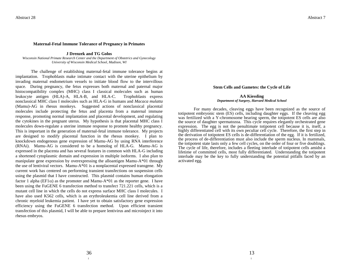#### **Maternal-Fetal Immune Tolerance of Pregnancy in Primates**

**J Drenzek and TG Golos**

*Wisconsin National Primate Research Center and the Department of Obstetrics and Gynecology University of Wisconsin Medical School, Madison, WI*

The challenge of establishing maternal-fetal immune tolerance begins at implantation. Trophoblasts make intimate contact with the uterine epithelium by invading maternal endometrium vessels to initiate blood flow to the intervillous space. During pregnancy, the fetus expresses both maternal and paternal major histocompatibility complex (MHC) class I classical molecules such as human leukocyte antigen (HLA)-A, HLA-B, and HLA-C. Trophoblasts express nonclassical MHC class I molecules such as HLA-G in humans and *Macaca mulatta*  (Mamu)-AG in rhesus monkeys. Suggested actions of nonclassical placental molecules include protecting the fetus and placenta from a maternal immune response, promoting normal implantation and placental development, and regulating the cytokines in the pregnant uterus. My hypothesis is that placental MHC class I molecules down-regulate a uterine immune response to promote healthy pregnancy. This is important in the generation of maternal-fetal immune tolerance. My projects are designed to modify placental function in the rhesus monkey. I plan to knockdown endogenous gene expression of Mamu-AG by using RNA interference (RNAi). Mamu-AG is considered to be a homolog of HLA-G. Mamu-AG is expressed in the placenta and has several features in common with HLA-G including a shortened cytoplasmic domain and expression in multiple isoforms. I also plan to manipulate gene expression by overexpressing the alloantigen Mamu-A\*01 through the use of lentiviral vectors. Mamu-A\*01 is a nonplacental expressed transgene. My current work has centered on performing transient transfections on suspension cells using the plasmid that I have constructed. This plasmid contains human elongation factor 1 alpha (EF1 $\alpha$ ) as the promoter and Mamu-A\*01 as the reporter gene. I have been using the FuGENE 6 transfection method to transfect 721.221 cells, which is a mutant cell line in which the cells do not express surface MHC class I molecules. I have also used K562 cells, which is an erythroleukemia cell line derived from a chronic myeloid leukemia patient. I have yet to obtain satisfactory gene expression efficiency using the FuGENE 6 transfection method. Upon efficient transient transfection of this plasmid, I will be able to prepare lentivirus and microinject it into rhesus embryos.

#### **Stem Cells and Gametes: the Cycle of Life**

#### **AA Kiessling** *Department of Surgery, Harvard Medical School*

For many decades, cleaving eggs have been recognized as the source of totipotent embryonic stem (ES) cells, including daughter eggs. If the cleaving egg was fertilized with a Y-chromosome bearing sperm, the totipotent ES cells are also the source of daughter spermatozoa. This cycle requires elegantly orchestrated gene expression. The egg is not the penultimate totipotent cell because it is, itself, a highly differentiated cell with its own peculiar cell cycle. Therefore, the first step in the derivation of totipotent ES cells is de-differentiation of the egg. If it is fertilized, the process of de-differentiation must also include the sperm nucleus. In mammals, the totipotent state lasts only a few cell cycles, on the order of four or five doublings. The cycle of life, therefore, includes a fleeting interlude of totipotent cells amidst a lifetime of committed cells, most fully differentiated. Understanding the totipotent interlude may be the key to fully understanding the potential pitfalls faced by an activated egg.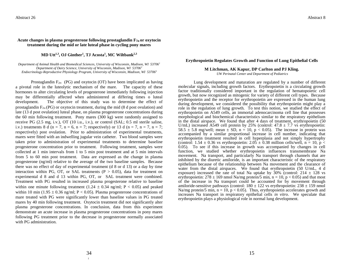### Abstract 8

#### Acute changes in plasma progesterone following prostaglandin  $F_{2\alpha}$  or oxytocin **treatment during the mid or late luteal phase in cycling pony mares**

### **MD Utt1,3, OJ Ginther<sup>1</sup> , TJ Acosta<sup>1</sup> , MC Wiltbank2,3**

*Department of Animal Health and Biomedical Sciences, University of Wisconsin, Madison, WI 53706<sup>1</sup> Department of Dairy Science, University of Wisconsin, Madison, WI 53706<sup>2</sup> Endocrinology-Reproductive Physiology Program, University of Wisconsin, Madison, WI 53706<sup>3</sup>*

Prostaglandin  $F_{2\alpha}$  (PG) and oxytocin (OT) have been implicated as having a pivotal role in the luteolytic mechanism of the mare. The capacity of these hormones to alter circulating levels of progesterone immediately following injection may be differentially affected when administered at differing times o luteal development. The objective of this study was to determine the effect of prostaglandin  $F_{2\alpha}$  (PG) or oxytocin treatment, during the mid (8 d post ovulation) and late (13 d post ovulation) luteal phase, on plasma progesterone concentrations during the 60 min following treatment. Pony mares (300 kg) were randomly assigned to receive PG (2.5 mg, i.v.), OT (10 i.u., i.v.), or control (SAL; 0.5 ml sterile saline, i.v.) treatments 8 d (n = 7, n = 6, n = 7; respectively) or 13 d (n = 7, n = 7, n = 7; respectively) post ovulation. Prior to administration of experimental treatments, mares were fitted with an indwelling jugular vein catheter. Two blood samples were taken prior to administration of experimental treatments to determine baseline progesterone concentration prior to treatment. Following treatment, samples were collected at 1 min intervals from 1 to 5 min post treatment and at 5 min intervals from 5 to 60 min post treatment. Data are expressed as the change in plasma progesterone (ng/ml) relative to the average of the two baseline samples. Because there was no effect of day of experimental treatment (d 8 or d 13) or a day by time interaction within PG, OT, or SAL treatments ( $P > 0.05$ ), data for treatment on experimental d 8 and d 13 within PG, OT, or SAL treatment were combined. Treatment with PG resulted in increased plasma progesterone relative to baseline within one minute following treatment (1.24  $\pm$  0.34 ng/ml; P < 0.05) and peaked within 10 min (1.95  $\pm$  0.36 ng/ml; P < 0.05). Plasma progesterone concentrations of mare treated with PG were significantly lower than baseline values in PG treated mares by 40 min following treatment. Oxytocin treatment did not significantly alter plasma progesterone concentrations. In conclusion, data from this experiment demonstrate an acute increase in plasma progesterone concentrations in pony mares following PG treatment prior to the decrease in progesterone normally associated with PG administration.

#### **Erythropoietin Regulates Growth and Function of Lung Epithelial Cells**

#### **M Litchman, AK Kapur, DP Carlton and PJ Kling.**

*UW Perinatal Center and Department of Pediatrics*

Lung development and maturation are regulated by a number of different molecular signals, including growth factors. Erythropoietin is a circulating growth factor traditionally considered important in the regulation of hematopoietic cell growth, but now recognized as mitogenic for variety of different cell types. Because erythropoietin and the receptor for erythropoietin are expressed in the human lung during development, we considered the possibility that erythropoietin might play a role in the regulation of lung growth. To test this notion, we studied the effect of erythropoietin on A549 cells, an immortal adenocarcinoma cell line that possesses morphological and biochemical characteristics similar to the respiratory epithelium in the distal airspace. We found that after 4 days of treatment, erythropoietin (50 U/mL) increased A549 cell protein by 25% (control:  $47.8 \pm 7.7$  vs erythropoietin: 58.5  $\pm$  5.8 mg/well; mean  $\pm$  SD, n = 10, p < 0.05). The increase in protein was accompanied by a similar proportional increase in cell number, indicating that erythropoietin treatment resulted in cell hyperplasia and not simply hypertrophy (control: 1.54  $\pm$  0.36 vs erythropoietin: 2.05  $\pm$  0.38 million cells/well, n = 10, p < 0.05). To see if this increase in growth was accompanied by changes in cell function, we studied whether erythropoietin influences transmembrane Na movement. Na transport, and particularly Na transport through channels that are inhibited by the diuretic amiloride, is an important characteristic of the respiratory epithelium because of the relationship between Na movement and the clearance of water from the distal airspaces. We found that erythropoietin (50 U/mL, 4 d exposure) increased the rate of total Na uptake by  $30\%$  (control: 214  $\pm$  128 vs erythropoietin:  $278 \pm 169$  nmol Na/mg protein/5 min, n = 10, p < 0.05) and that most of the increase in Na transport could be accounted for by movement through amiloride-sensitive pathways (control:  $180 \pm 122$  vs erythropoietin:  $238 \pm 159$  nmol Na/mg protein/5 min,  $n = 10$ ,  $p < 0.05$ ). Thus, erythropoietin accelerates growth and increases Na transport in respiratory epithelial cells *in vitro*. We speculate that erythropoietin plays a physiological role in normal lung development.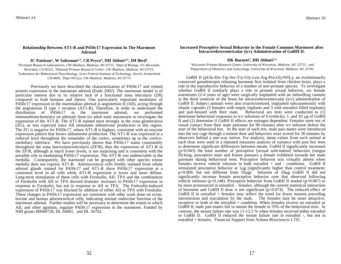#### **Relationship Between AT1-R and P450c17 Expression In The Marmoset Adrenal**.

**JC Pattison<sup>1</sup> , W Saltzman2,3, CR Pryce<sup>4</sup> , DH Abbott3,5, IM Bird<sup>1</sup> .**

*<sup>1</sup>Perinatal Research Laboratories, UW-Madison, Madison, WI 53715, <sup>2</sup>Dept of Biology, UC-Riverdale, Riverdale, CA 92521, <sup>3</sup>National Primate Research Center, UW-Madison, Madison, WI 53715, <sup>4</sup>Laboratory for Behavioural Neurobiology, Swiss Federal Institute of Technology, Zurich, Switzerland CH-8603, <sup>5</sup>Dept Ob/Gyn, UW-Madison, Madison, WI 53715*

Previously we have described the characterization of P450c17 and related protein expression in the marmoset adrenal (Endo 2002). The marmoset model is of particular interest due to its relative lack of a functional zona reticularis (ZR) compared to both humans and rhesus. One particularly important modulator of P450c17 expression in the mammalian adrenal is angiotensin II (AII), acting through the angiotensin II type 1 receptor (AT1-R). Therefore, in order to understand the distribution of P450c17 in the marmoset adrenal, we performed immunohistochemistry on adrenals from six adult male marmosets to investigate the expression of the AT1-R. The AT1-R stained most strongly in the zona glomerulosa (ZG), as was expected since AII stimulates aldosterone production in this region. The ZG is negative for P450c17, where AT1-R is highest, consistent with an enzyme expression pattern that favors aldosterone production. The AT1-R was expressed at a reduced level throughout the remainder of the cortex, sometimes up to the corticomedullary interface. We have previously shown that P450c17 stains consistently throughout the zona fasciculata/reticularis (ZF/R), thus the expression of AT1-R in the ZF/R, although at much lower levels, is not surprising and is consistent with the possible role in modulating P450c17 expression. The AT1-R was undetectable in the medulla. Consequently, the marmoset can be grouped with other species whose medulla does not express AT1-R. Adrenocortical cells freshly isolated from whole adrenal glands stained for P450c17 and AT1-R show P450c17 expression at a consistent level in all cells while AT1-R expression is lower and more diffuse. Long-term stimulation of these cells with Forskolin, AII, TPA and the combination of Forskolin with AII or TPA showed dramatic increases in P450c17 expression in response to Forskolin, but not in response to AII or TPA. The Forksolin-induced expression of P450c17 was blocked by addition of either AII or TPA with Forskolin. These changes in P450c17 expression are consistent with other work done on ovine, bovine and human adrenocortical cells, indicating normal endocrine function of the marmoset adrenal. Further studies will be necessary to determine the extent to which AII, and other agonists, regulate P450c17 expression in the marmoset. Funded by NIH grants MH60728, HL 64601, and HL 56702.

#### **Increased Proceptive Sexual Behavior in the Female Common Marmoset after Intracerebroventricular (icv) Administration of GnRH II.**

### **DK Barnett<sup>1</sup> , DH Abbott1,2**

*<sup>1</sup>Wisconsin Primate Research Center, University of Wisconsin, Madison, WI, 53715 ; and <sup>2</sup>Department of Obstetrics and Gynecology, University of Wisconsin, Madison, WI, 53792*

GnRH II (pGlu-His-Trp-Ser-Try-Gly-Leu-Arg-Pro-Gly•NH<sub>2</sub>), an evolutionarily conserved gonadotropin releasing hormone first isolated from chicken brain, plays a role in the reproductive behavior of a number of non-primate species. To investigate whether GnRH II similarly plays a role in primate sexual behavior, six female marmosets (2-4 years of age) were surgically implanted with an indwelling cannula in the third ventricle of the brain for intracerebroventricular (icv) administration of GnRH II. Subject animals were also ovariectomized, implanted subcutaneously with silastic capsules (3 females with empty implants and 3 with estradiol filled implants) and pair-housed with their mate. Behavioral sex tests were conducted to (1) determine behavioral responses to icv infusions of 0 (vehicle), 1, and 10  $\mu$ g of GnRH II and (2) determine if GnRH II effects are estrogen dependent. Females were out of visual contact from their male pairmate for 90 minutes after icv infusion before the start of the behavioral test. At the start of each test, male pair-mates were introduced into the test cage through a remote door and behaviors were scored for 30 minutes by observers behind a one-way mirror. For analysis, mean values from each animal at each dose were used in a repeated measures analysis of variance with post hoc tests to determine significant differences between means. GnRH II significantly increased  $(p=0.043)$  the total number of proceptive [sexual solicitation] behaviors (tongue flicking, proceptive stare and frozen posture) a female exhibited towards her male pairmate during behavioral tests. Proceptive behavior was virtually absent when females receive vehicle infusion in both estradiol + and - conditions. GnRH II stimulated proceptive behavior at  $1\mu$ g (significantly higher than control treatment;  $p=0.009$ , but not different from  $10\mu g$ . Infusion of  $10\mu g$  GnRH II did not significantly increase female proceptive behavior over that observed following vehicle infusion ( $p=0.148$ ). Proceptive behavior from GnRH II tended ( $p=0.067$ ) to be more pronounced in estradiol – females, although the current statistical interaction of hormone and GnRH II dose is not significant ( $p=0.074$ ). The reduced effect of GnRH II in estradiol + females may reflect the trend for fewer mounts preceding intromission and ejaculation by the male. The females may be more attractive, receptive or both in the estradiol + condition. When females receive no estradiol or GnRH II, male pair-mates fail to mount the female in 33% of the behavioral tests. In contrast, the mount failure rate was 11-12.5 % when females received either estradiol or GnRH II. GnRH II reduced the mount failure rate in estradiol -, but not in estradiol + females. Financial Support from Ardana Biosciences LTD.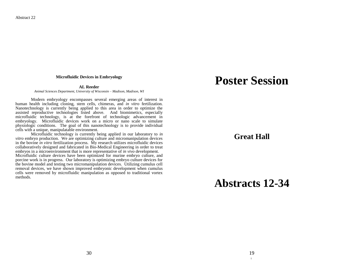#### **Microfluidic Devices in Embryology**

#### **AL Reeder**

*Animal Sciences Department, University of Wisconsin – Madison, Madison, WI*

Modern embryology encompasses several emerging areas of interest in human health including cloning, stem cells, chimeras, and *in vitro* fertilization. Nanotechnology is currently being applied to this area in order to optimize the assisted reproductive technologies listed above. And biomimetics, especially microfluidic technology, is at the forefront of technologic advancement in embryology. Microfluidic devices work on a micro or nano scale to simulate physiologic conditions. The goal of this nanotechnology is to provide individual cells with a unique, manipulatable environment.

Microfluidic technology is currently being applied in our laboratory to *in vitro* embryo production. We are optimizing culture and micromanipulation devices in the bovine *in vitro* fertilization process. My research utilizes microfluidic devices collaboratively designed and fabricated in Bio-Medical Engineering in order to treat embryos in a microenvironment that is more representative of *in vivo* development. Microfluidic culture devices have been optimized for murine embryo culture, and porcine work is in progress. Our laboratory is optimizing embryo culture devices for the bovine model and testing two micromanipulation devices. Utilizing cumulus cell removal devices, we have shown improved embryonic development when cumulus cells were removed by microfluidic manipulation as opposed to traditional vortex methods.

## **Poster Session**

### **Great Hall**

## **Abstracts 12-34**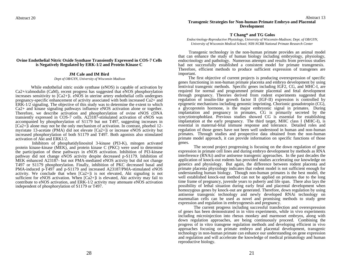#### **Ovine Endothelial Nitric Oxide Synthase Transiently Expressed in COS-7 Cells is Negatively Regulated by ERK-1/2 and Protein Kinase C**

#### **JM Cale and IM Bird**

*Dept of OB/GYN, University of Wisconsin Madison*

While endothelial nitric oxide synthase (eNOS) is capable of activation by Ca2+/calmodulin (CaM), recent progress has suggested that eNOS phosphorylation increases sensitivity to  $[Ca2+]$ : eNOS in uterine artery endothelial cells undergoes pregnancy-specific enhancement of activity associated with both increased Ca2+ and ERK-1/2 signaling. The objective of this study was to determine the extent to which Ca2+ and kinase signaling pathways influence eNOS activation alone or together. Therefore, we describe activation and phosphorylation of ovine eNOS cDNA transiently expressed in COS-7 cells. A23187-stimulated activation of eNOS was accompanied by phosphorylation of S1179 but not T497, suggesting increases in  $[Ca2+]i$  alone may not be the only mechanism of activation. In contrast, phorbol 12myristate 13-acetate (PMA) did not elevate [Ca2+]i or increase eNOS activity but increased phosphorylation of both S1179 and T497. Both agonists also stimulated activation of Akt and ERK1/2.

Inhibitors of phosphatidylinositol 3-kinase (PI3-K), mitogen activated protein kinase-kinase (MEK), and protein kinase C (PKC) were used to determine the participation of these pathways in eNOS activation. Inhibition of PI3-kinase pathway did not change eNOS activity despite decreased p-S1179. Inhibition of MEK enhanced A23187- but not PMA-mediated eNOS activity but did not change T497 or S1179 phosphorylation. Finally, inhibition of PKC decreased basal and PMA-induced p-T497 and p-S1179 and increased A23187/PMA-stimulated eNOS activity. We conclude that when  $[Ca2+]$  is not elevated, Akt signaling is not sufficient for eNOS activation. When [Ca2+]i is elevated, Akt activity may fail to contribute to eNOS activation, and ERK-1/2 activity may attenuate eNOS activation independent of phosphorylation of S1179 or T497.

#### **T Chang\* and TG Golos**

*Endocrinology-Reproductive Physiology, University of Wisconsin-Madison; Dept. of OB/GYN, University of Wisconsin Medical School; NIH-NCRR National Primate Research Center*

 Transgenic technology in the non-human primate provides an animal model that can enhance the study of human biology including embryology, physiology, endocrinology and pathology. Numerous attempts and results from previous studies had not successfully established a consistent model for primate transgenesis. Therefore, efficient methods to produce sufficient expression of transgenes are important.

 The first objective of current projects is producing overexpression of specific genes functioning in non-human primate placenta and embryo development by using lentiviral transgenic methods. Specific genes including IGF2, CG, and MHC-I, are required for normal and programmed primate placental and fetal development through pregnancy. Theories derived from rodent experiments suggested that regulation of insulin-like growth factor II (IGF-II) expression is controlled by epigenetic mechanisms including genomic imprinting. Chorionic gonadotropin (CG), a glycoprotein hormone, is the major embryonic signal in primates. During implantation and pregnancy in primates, CG is primarily secreted by the syncytiotrophoblast. Previous studies showed CG is essential for establishing implantation at the early pregnancy. The third target, MHC class I (MHC-I), is essential in maternal-fetal immune response and tolerance. Detailed roles and regulation of those genes have not been well understood in human and non-human primates. Through studies and prospective data obtained from the non-human primate model approach, it can provide information on specific functions of those genes.

The second project progressing is focusing on the down regulation of gene expression in primate cell lines and during embryo development by methods as RNA interference (RNAi) and/or antisense transgenic approaches. In the past decades the application of knock-out rodents has provided studies accelerating our knowledge on genetics and physiology. But again, the difference between rodent placenta and primate placenta physiology indicates that rodent model is not sufficient enough for understanding human biology. Though non-human primates is the best model, the well established knock-out method can not be applied on primates due to the long time frame of pregnancy, juvenile years to puberty and life span. There also lays the possibility of lethal situation during early fetal and placental development when homozygous genes by knock-out are generated. Therefore, down regulation by using antisense transgenic technology and newly developed RNAi technology on mammalian cells can be used as novel and promising methods to study gene expression and regulation in embryogenesis and pregnancy.

The current progress including successful transfection and overexpression of genes has been demonstrated in in vitro experiments, while in vivo experiments including microinjection into rhesus monkey and marmoset embryos, along with down regulation approaches, are being continuously proceed. Combining the progress of in vitro transgene regulation methods and developing efficient in vivo approaches focusing on primate embryo and placental development, transgenic technology in non-human primate can enhance our understanding on gene expression and regulation and will accelerate the knowledge of medical primatology and human reproductive biology.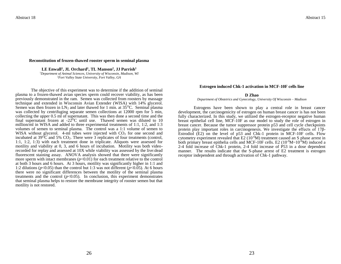#### **Reconstitution of frozen-thawed rooster sperm in seminal plasma**

**LE Enwall<sup>1</sup> , JL Orchard<sup>1</sup> , TL Manson<sup>2</sup> , JJ Parrish<sup>1</sup>** <sup>1</sup>*Department of Animal Sciences, University of Wisconsin, Madison, WI* <sup>2</sup>*Fort Valley State University, Fort Valley, GA*

The objective of this experiment was to determine if the addition of seminal plasma to a frozen-thawed avian species sperm could recover viability, as has been previously demonstrated in the ram. Semen was collected from roosters by massage technique and extended in Wisconsin Avian Extender (WISA) with 14% glycerol. Semen was then frozen in  $LN_2$  and later thawed for 1 min. at  $35^{\circ}$ C. Seminal plasma was collected by centrifuging separate semen collections at 12000 rpm for 5 min, collecting the upper 0.5 ml of supernatant. This was then done a second time and the final supernatant frozen at  $-22^{\circ}$ C until use. Thawed semen was diluted to 10 million/ml in WISA and added to three experimental treatments of 1:1, 1:2, and 1:3 volumes of semen to seminal plasma. The control was a 1:1 volume of semen to WISA without glycerol. 4-ml tubes were injected with  $CO<sub>2</sub>$  for one second and incubated at  $39^{\circ}C$  and  $5\%$  CO<sub>2</sub>. There were 3 replicates of four treatments (control, 1:1, 1:2, 1:3) with each treatment done in triplicate. Aliquots were assessed for motility and viability at 0, 3, and 6 hours of incubation. Motility was both videorecorded for replay and assessed at 10X while viability was assessed by the live:dead fluorescent staining assay. ANOVA analysis showed that there were significantly more sperm with intact membranes  $(p<0.01)$  for each treatment relative to the control at both 3 hours and 6 hours. At 3 hours, motility was significantly higher in 1:1 and 1:2 dilutions ( $p<0.05$ ) than the control but 1:3 was not different ( $p<0.05$ ). At 6 hours there were no significant differences between the motility of the seminal plasma treatments and the control  $(p<0.05)$ . In conclusion, this experiment demonstrates that seminal plasma helps to restore the membrane integrity of rooster semen but that motility is not restored.

#### **Estrogen induced Chk-1 activation in MCF-10F cells line**

#### **D Zhao**

*Department of Obstetrics and Gynecology, University Of Wisconsin – Madison*

Estrogens have been shown to play a central role in breast cancer development, the carcinogenicity of estrogen on human breast cancer is has not been fully characterized. In this study, we utilized the estrogen-receptor negative human breast epithelial cell line, MCF-10F as our model to study the role of estrogen in breast cancer. Because the tumor suppressor protein p53 and cell cycle checkpoints protein play important roles in carcinogenesis. We investigate the effects of 17β-Estrodiol (E2) on the level of p53 and Chk-1 protein in MCF-10F cells. Flow cytometry experiment revealed that  $E2 (10^{-6}M)$  treatment caused an S phase arrest in both primary breast epithelia cells and MCF-10F cells. E2 ( $10^{-9}M~10^{-6}M$ ) induced a 2-4 fold increase of Chk-1 protein, 2-4 fold increase of P53 in a dose dependent manner. The results indicate that the S-phase arrest of E2 treatment is estrogen receptor independent and through activation of Chk-1 pathway.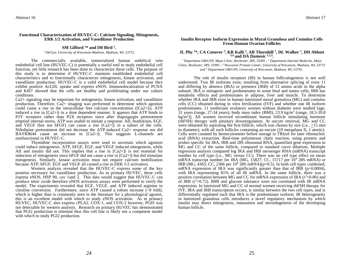#### **Functional Characterization of HUVEC-C: Calcium Signaling, Mitogenesis, ERK 1/2 Activation, and Vasodilator Production**

#### **SM Gifford <sup>1</sup>\* and IM Bird <sup>1</sup> .**

*<sup>1</sup> Ob/Gyn, University of Wisconsin-Madison, Madison, WI, 53715.*

The commercially available, immortalized human umbilical vein endothelial cell line (HUVEC-C) is potentially a useful tool to study endothelial cell function, yet little research has been done to characterize these cells. The purpose of this study is to determine if HUVEC-C maintain established endothelial cell characteristics and to functionally characterize mitogenesis, kinase activation, and vasodilator production. HUVEC-C is a valid endothelial cell model because they exhibit positive AcLDL uptake and express eNOS. Immunolocalization of PCNA and KI67 showed that the cells are healthy and proliferating under our culture conditions.

Ca2+ signaling may be important for mitogenesis, kinase activation, and vasodilator production. Therefore, Ca2+ imaging was performed to determine which agonists could cause a rise in the intracellular free calcium concentration ( $[Ca2+]i$ ). ATP induced a rise in [Ca2+]i in a dose dependent manner. It appears that ATP binds to P2Y receptors rather than P2X receptors since after thapsigargin pretreatment emptied internal stores, ATP was unable to initiate a response. AII, bradykinin, EGF, and VEGF (but not bFGF) can cause a rise  $[Ca2+]i$  in a subset of the cells. Nifedipine pretreatment did not decrease the ATP-induced Ca2+ response nor did  $BAYK8644$  cause an increase in  $[Ca2+]$ . This suggests L-channels are nonfunctional in HUVEC-C.

Thymidine incorporation assays were used to ascertain which agonists could induce mitogenesis. ATP, bFGF, EGF, and VEGF induced mitogenesis, while AII and insulin did not. This implies that a rise in  $[Ca2+]$  is not essential for induction of mitogenesis since bFGF did not cause a rise in [Ca2+]i but did stimulate mitogenesis. Similarly, kinase activation must not require calcium mobilization because ATP, bFGF, EGF and VEGF all caused a rise in ERK 1/2 activation.

Western analysis revealed that the HUVEC-C express some of the key proteins necessary for vasodilator production. As in primary HUVEC, these cells express eNOS, HSP 90, cav 1 and  $\hat{2}$ . This data would suggest that HUVEC-C can produce nitric oxide therefore eNOS activation assays were performed to verify the model. The experiments revealed that EGF, VEGF, and ATP induced arginine to citruline conversion. Furthermore, since ATP caused a robust increase (~8 fold), which is higher than is commonly seen in the literature for a physiological agonist, this is an excellent model with which to study eNOS activation. As in primary HUVEC, HUVEC-C also express cPLA2, COX-1, and COX-2 however, PGIS was not detectable by western analysis. Research on primary HUVEC has demonstrated that PGI2 production is minimal thus this cell line is likely not a competent model with which to study PGI2 production.

#### **Insulin Receptor Isoform Expression in Mural Granulosa and Cumulus Cells From Human Ovarian Follicles**

#### **JL Phy <sup>1</sup>\*, CA Conover <sup>2</sup> , KR Kalli <sup>2</sup> , AR Thornhill <sup>1</sup> , DL Walker <sup>1</sup> , DH Abbott 3,4 and DA Dumesic 1,2,3 .**

*<sup>1</sup> Department OB/GYN, Mayo Clinic, Rochester, MN, 55905 ; <sup>2</sup> Department Internal Medicine, Mayo Clinic, Rochester, MN, 55905 ; <sup>3</sup> Wisconsin Primate Center, University of Wisconsin, Madison, WI, 53715 and <sup>4</sup> Department OB/GYN, University of Wisconsin, Madison, WI, 53792 .*

The role of insulin receptors (IR) in human folliculogenesis is not well understood. Two IR isoforms exist, resulting from alternative splicing of exon 11 and differing by absence (IRA) or presence (IRB) of 12 amino acids in the alpha subunit. IRA is mitogenic and predominates in some fetal and tumor cells; IRB has metabolic effects and predominates in adipose, liver and muscle. To determine whether IRA and IRB exist in human luteinized mural granulosa (MG) and cumulus cells (CC) obtained during in vitro fertilization (IVF) and whether one IR isoform predominates, 11 nonhirsute ovulatory women without diabetes were studied [age, 31 years (range, 27-34 years); body mass index (BMI), 23.9 kg/m<sup>2</sup> (range, 18.5-39.8) kg/m<sup>2</sup> )]. All women received recombinant human follicle stimulating hormone (rhFSH) therapy with pituitary downregulation. At oocyte retrieval, MG and CC were obtained by aspirating the first follicle, which was chosen by size (i.e.,  $>15$  mm in diameter), with all such follicles containing an oocyte (10 metaphase II, 1 atretic). Cells were counted by hemocytometer before storage in TRIzol for later ribonucleic acid (RNA) extraction. Real-time polymerase chain reaction, using primers and probes specific for IRA, IRB and 28S ribosomal RNA, quantified gene expression in MG and CC of the same follicle, compared to standard curve dilutions. Multiple regression analysis compared log IRA and IRB messenger RNA (mRNA) transcript number by cell type (i.e., MG versus CC). There was no cell type effect on mean mRNA transcript number for IRA (MG, 15827; CC, 15717 per 10<sup>8</sup> 28S mRNA) or IRB (MG, 4365; CC, 2366 per  $10^8$  28S mRNA)(p=0.5). In both cell types combined, mRNA expression of IRA was significantly greater than that of IRB ( $p=0.0004$ ), with IRA representing 81% of all IR mRNA. In the same follicle, there was a positive correlation between MG and CC for mRNA expression of IRA  $(r^2=0.80)$  and of IRB  $(r^2=0.72)$ . BMI and glucose tolerance were not correlated with IR mRNA expression. In luteinized MG and CC of normal women receiving rhFSH therapy for IVF, IRA and IRB transcription occurs, is similar between the two cell types, and is differentially regulated such that IRA is the predominant isoform. IR heterogeneity in luteinized granulosa cells introduces a novel regulatory mechanism by which insulin may direct mitogenesis, maturation and steroidogenesis of the developing human follicle.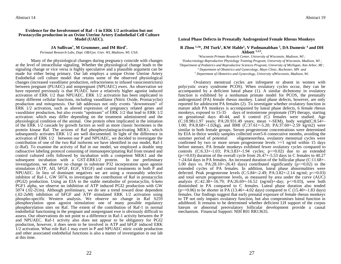#### **Evidence for the Involvemnet of Raf –1 in ERK 1/2 activation but not Prostacyclin production in an Ovine Uterine Artery Endothelial Cell Culture Model (UAEC).**

#### **JA Sullivan\* , M Grummer, and IM Bird\* .**

*Perinatal Research Labs, Dept. OB/Gyn. Univ. WI, Madison, WI, USA.*

Many of the physiological changes during pregnancy coincide with changes at the level of intracellular signaling. Whether the physiological change leads to the signaling change or vice versa is highly speculative and a plausible argument can be made for either being primary. Our lab employs a unique Ovine Uterine Artery Endothelial cell culture model that retains some of the observed physiological changes (increased vasodilator production, refractoriness to infused vasoconstrictors) between pregnant (PUAEC) and nonpregnant (NPUAEC) ewes. An observation we have reported previously is that PUAEC have a relatively higher agonist induced activation of ERK 1/2 than NPUAEC. ERK 1/2 activation has been implicated in many different cellular functions, including vasodilator (Nitric Oxide, Prostacyclin) production and mitogenesis. Our lab addresses not only events "downstream" of ERK 1/2 activation, such as altered expression of pregnancy related genes and vasodilator production, but also events "upstream" of ERK 1/2 that lead to ERK 1/2 activation: which may differ depending on the treatment administered and the physiological condition of the animal. One protein often implicated in the initiation of the ERK 1/2 cascade by growth factors as well as more classic hormones is the protein kinase Raf. The actions of Raf phosphorylating/activating MEK1, which subsequently activates ERK 1/2 are well documented. In light of the difference in activation of ERK 1/2 between our P and NPUAEC, we decided to investigate the contribution of one of the two Raf isoforms we have identified in our model, Raf-1 (c-Raf). To examine the activity of Raf in our model, we employed a double step radioactive labeling protocol consisting of immunoprecipitating Raf from treated and control cultured cells followed by incubation with a competent MEK1 and the subsequent incubation with a GST-ERK1/2 protein. In our preliminary investigations, we observe no change in substrate P32 incorporation upon agonist stimulation (ATP, AII, bFGF, EGF, VEGF) and control treatments in both P and NPUAEC. In lieu of dominant negatives we are using a reasonably selective inhibitor of Raf-1, GW 5074, to investigate the contribution of Raf in prostacyclin (PGI2) production. Using an EIA to the stable metabolite of prostacyclin, 6-keto PGF1 alpha, we observe no inhibition of ATP induced PGI2 production with GW 5074 (.02-2Um). Although preliminary, we do see a trend toward dose dependent (.02-2uM) inhibition of bFGF and ATP stimulated ERK 1/2 activation using phospho-specific Western analysis. We observe no change in Raf S259 phosphorylation upon agonist stimulation: one of many possible regulatory phosphorylation sites on Raf. The extent of the contribution of Raf-1 in normal endothelial functioning in the pregnant and nonpregnant ewe is obviously difficult to assess. Our observations do not point to a difference in Raf-1 activity between the P and NPUAEC. Raf-1 activity also does not appear to be obligatory for PGI2 production, however, it does seem to be involved in ATP and bFGF induced ERK 1/2 activation. What role Raf-1 may exert in P and NPUAEC nitric oxide production and other associated endothelial functions is also a matter of investigation in our lab at this time.

#### **Luteal Phase Defects in Prenatally Androgenized Female Rhesus Monkeys**

#### **R Zhou 1,2\*, JM Turk<sup>1</sup> , KW Hable<sup>1</sup> , V Padmanabhan <sup>3</sup> , DA Dumesic <sup>4</sup> and DH Abbott 1,2,5 .**

*<sup>1</sup>Wisconsin Primate Research Center, University of Wisconsin, Madison, WI ; <sup>2</sup>Endocrinology-Reproductive Physiology Training Program, University of Wisconsin, Madison, WI ; <sup>3</sup>Department of Pediatrics and Reproductive Sciences Program, University of Michigan, Ann Arbor, MI ;* 

*<sup>4</sup> Department of Obstetrics and Gynecology, Mayo Clinic, Rochester, MN and*

*<sup>5</sup> Department of Obstetrics and Gynecology, University ofWisconsin, Madison, Wi.*

Ovulatory menstrual cycles are infrequent or absent in women with polycystic ovary syndrome PCOS). When ovulatory cycles occur, they can be accompanied by a deficient luteal phase (1). A similar dichotomy in ovulatory function is exhibited by a nonhuman primate model for PCOS, the prenatally androgenized (PA) female rhesus monkey. Luteal phase defects, however, are only reported for adolescent PA females (2). To investigate whether ovulatory function in mature adult PA monkeys is accompanied by luteal phase defects, 6 female rhesus monkeys, exposed to 15-35 days of testosterone propionate (TP) therapy, starting on gestational days 40-44, and 6 control (C) females were studied. Age (C:18.98±1.97 years; PA:20.931.49 years; mean +-SEM), body weight(C:8.54+- 1.00; PA:8.68+-1.02kg), and BMI (C:37.61+-5.20; PA:37.60+-2.59 kg/m2) were similar in both female groups. Serum progesterone concentrations were determined by EIA in thrice weekly samples collected over 5-6 consecutive months, avoiding the summer period of potential oligomenormea. ovulatory menstrual cycles were oligomenorrhea. ovulatory menstrual cycles were confirmed by two or more serum progesterone levels  $>=1$  ng/ml within 15 days before menses. PA female monkeys exhibited fewer ovulatory cycles compared to controls  $(C:6.33+1.03; PA:3.83+1.94$  cycles;  $p \le 0.02$  due to an extended  $(p \le 0.03)$  duration of the overall cycle from 26.47+-5.53 days in C females to 40.27 +-24.64 days in PA females. An increased duration of the follicular phase (C:11.68+- 5.00 days vs. PA:28.10+-26.43 days) contributed significantly ( $p \le 0.02$ ) to the extended cycles of PA females. In addition, luteal phase abnormalities were defected. Peak progesterone levels  $(C:5.84 + -2.49; PA:3.82 + -2.14$  ng/ml;  $p \le 0.03$ ) and total serum progesterone levels, as measured by area under the curve (AUC) analysis (C:42.38+-16.79; PA:26.69+-16.52 (ng/ml)+-day; p $\leq$ =0.03), were both diminished in PA compared to C females. Luteal phase duration also tended  $(p \le 0.06)$  to be shorter in PA (13.46+-4.02 days) compared to C (15.40+-1.83 days) females. Our findings suggest that early prenatal exposure of female rhesus monkeys to TP not only impairs ovulatory function, but also compromises luteal function in adulthood. It remains to be determined whether deficient LH support of the corpus luteum or abnormal preovulatory follicular development provide a causal mechanism. Financial Support: NIH R01 RR13635.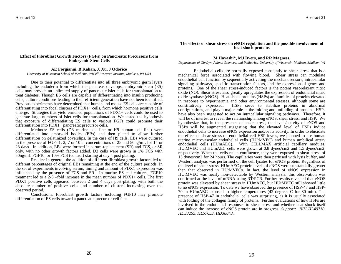#### **Effect of Fibroblast Growth Factors (FGFs) on Pancreatic Precursors from Embryonic Stem Cells**

#### **AE Forgianni, B Kahan, X Xu, J Odorico**

*University of Wisconsin School of Medicine, WiCell Research Institute, Madison, WI USA*

Due to their potential to differentiate into all three embryonic germ layers including the endoderm from which the pancreas develops, embryonic stem (ES) cells may provide an unlimited supply of pancreatic islet cells for transplantation to treat diabetes. Though ES cells are capable of differentiating into insulin producing cells, culture conditions leading to their efficient generation have not been identified. Previous experiments have determined that human and mouse ES cells are capable of differentiating into focal clusters of PDX1+ cells, from which hormone positive cells emerge. Strategies that yield enriched populations of PDX1+ cells could be used to generate large numbers of islet cells for transplantation. We tested the hypothesis that exposure of differentiating ES cells to various FGFs could promote their differentiation into PDX1+ pancreatic precursor cells.

Methods: ES cells (D3 murine cell line or H9 human cell line) were differentiated into embryoid bodies (EBs) and then plated to allow further differentiation on gelatinized coverslips. In the case of H9 cells, EBs were cultured in the presence of FGFs 1, 2, 7 or 10 at concentrations of 25 and 50ng/mL for 14 or 28 days. In addition, EBs were formed in serum-replacement (SR) and FCS, or SR only, with no other growth factors added. D3 cells were grown in 1% FCS with 50ng/mL FGF10, or 10% FCS (control) starting at day 4 post plating.

Results: In general, the addition of different fibroblast growth factors led to different percentages of original EBs remaining at the end of the culture periods. In the set of experiments involving serum, timing and amount of PDX1 expression was influenced by the presence of FCS and SR. In murine ES cell cultures, FGF10 treatment led to a 2-3 –fold increase in the mean number of PDX1+ cells. The first PDX1 positive cells appeared between 2 and 4 days post-plating, with both the absolute number of positive cells and number of clusters increasing over the observed period.

Conclusions: Fibroblast growth factors including FGF10 may promote differentiation of ES cells toward a pancreatic precursor cell fate.

#### **The effects of shear stress on eNOS regulation and the possible involvement of heat shock proteins**

#### **M Hayashi\*, MJ Byers, and RR Magness.**

*Departments of Ob/Gyn, Animal Sciences, and Pediatrics. University of Wisconsin-Madison, Madison, WI* 

Endothelial cells are normally exposed constantly to shear stress that is a mechanical force associated with flowing blood. Shear stress can modulate endothelial cell function by sequentially activating the mechanosensors, intracellular signaling pathways, specific transcription factors, and the expression of genes and proteins. One of the shear stress-induced factors is the potent vasorelaxant nitric oxide (NO). Shear stress also greatly upregulates the expression of endothelial nitric oxide synthase (eNOS). Heat shock proteins (HSPs) are families of proteins elevated in response to hyperthermia and other environmental stresses, although some are constitutively expressed. HSPs serve to stabilize proteins in abnormal configurations, and play a major role in the folding and unfolding of proteins. HSPs have also been suggested to act on intracellular signaling pathways. Therefore, it will be of interest to reveal the relationship among eNOS, shear stress, and HSP. We hypothesize that, in the presence of shear stress, the levels/activity of eNOS and HSPs will be augmented suggesting that the elevated level of HSPs induce endothelial cells to increase eNOS expression and/or its activity. In order to elucidate the effect of shear stress on endothelial cell HSP levels, we planned to use human uterine microvascular endothelial cells (HUtMVEC) and human umbilical artery endothelial cells (HUmAEC). With CELLMAX artificial capillary modules, HUtMVEC and HUmAEC cells were grown at 0.8 dynes/cm2 and 1.5 dynes/cm2, respectively. When the cells reach confluence, they were exposed to shear stress of 15 dynes/cm2 for 24 hours. The capillaries were then perfused with lysis buffer, and Western analysis was performed on the cell lysates for eNOS protein. Regardless of the level of shear stress, HUmAEC protein levels of eNOS were substantially greater then that observed in HUtMVECs. In fact, the level of eNOS expression in HUtMVEC was nearly non-detectable by Western analysis; this observation was confirmed at the level of mRNA using RT/PCR. Further results revealed that eNOS protein was elevated by shear stress in HUmAEC, but HUtMVEC still showed little to no eNOS expression. To date we have observed the presence of HSP-47 and HSP-70 in HUmAEC exposed to higher temperatures (42 degrees C for 30 min). The presence of HSP-47 in endothelial cells was surprising, as it is usually associated with folding of the collagen family of proteins. Further evaluations of how HSPs are involved in the endothelial responses to shear stress and whether heat shock itself can induce the increase of eNOS protein are in progress. *Support: NIH HL49710, HD33255, HL57653, HD38843.*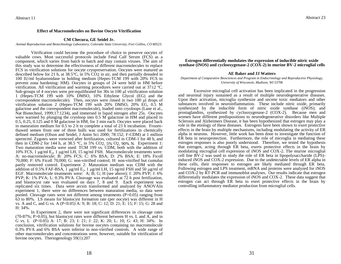#### **Effect of Macromolecules on Bovine Oocyte Vitrification**

#### **CM Checura, GE Seidel Jr.**

*Animal Reproduction and Biotechnology Laboratory, Colorado State University, Fort Collins, CO 80523.*

Vitrification could become the procedure of choice to preserve oocytes of valuable cows. Most successful protocols include Fetal Calf Serum (FCS) as a component, which varies from batch to batch and may contain viruses. The aim of this study was to determine the effectiveness of different macromolecules to replace FCS in vitrification solutions for oocyte cryopreservation. Oocytes were matured as described below for 21 h, at 38.5°C, in 5% CO2 in air, and then partially denuded in 100 IU/ml hyaluronidase in holding medium (Hepes-TCM 199 with 20% FCS to prevent zona hardening: HM). Oocytes in groups of 24 were held in HM before vitrification. All vitrification and warming procedures were carried out at  $37\pm2$  °C. Sub-groups of 4 oocytes were pre-equilibrated for  $30s$  in  $100 \mu l$  vitrification solution 1 (Hepes-TCM 199 with 10% DMSO, 10% Ethylene Glycol (EG) and the correspondent macromolecule). Then, oocytes were rinsed in two  $100 \mu$ l drops of vitrification solution 2 (Hepes-TCM 199 with 20% DMSO, 20% EG, 0.5 M galactose and the correspondent macromolecule), loaded onto cryoloops (Lane et al., Nat Biotechnol, 1999;17:1234), and immersed in liquid nitrogen after 25s. Oocytes were warmed by plunging the cryoloop into 0.5 M galactose in HM and placed in 0.5, 0.25, 0.125 and 0 M galactose in HM, for 3 min each. Oocytes were placed back in maturation medium for 0.5 to 2 h to complete a total of 23 h incubation. Frozenthawed semen from one of three bulls was used for fertilizations in chemically defined medium (Olson and Seidel, J Anim Sci 2000; 78:152; F-CDM) at 1 million sperm/ml. Zygotes were vortexed after fertilization, cultured in CDM-1 for 48 h, and then in CDM-2 for 144 h, at 38.5 °C, in 5% CO2, 5% O2, 90% N. Experiment 1: Two maturation media were used: TCM 199 vs. CDM, both with the addition of 10% FCS, 1  $\mu$ g/ml E<sub>2</sub>, 1  $\mu$ g/ml LH, 15 ng/ml FSH. Macromolecule treatments were: A: no-macromolecule; B: 20% FCS; C: 6% BSA; D: 2% BSA; E: 18% Ficoll 70,000; F: 6% Ficoll 70,000; G: non-vitrified control; H: non-vitrified but cumulus partly removed control. Experiment 2: Maturation medium was CDM with the addition of 0.5% FAF-BSA,  $\overline{1}$  µg/ml  $\text{E}_2$ , 1 µg/ml LH, 15 ng/ml FSH and 50 µg/ml of EGF. Macromolecule treatments were: A; B; G; H (see above); I: 20% PVP; J: 6% PVP; K: 1% PVA; L: 0.3% PVA. Cleavage was evaluated at 72 h post fertilization, and blastocyst rate was evaluated on days 7, 8 and 9. Each experiment was replicated six times. Data were arcsin transformed and analyzed by ANOVAIn experiment 1, there were no differences between maturation media, so data were pooled. Cleavage rates were not different among treatments  $(P>0.05)$  ranging from 63 to 80%. LS means for blastocyst formation rate (per oocyte) was different in H vs. A and C, and G vs. A (P<0.05) A: 9; B: 18; C: 12; D: 21; E: 15; F: 15; G: 28 and H: 34%.

In Experiment 2, there were not significant differences in cleavage rates (70-87%; P>0.05), but blastocyst rates were different between H vs. L and A, and in G vs. L (P<0.05) A: 17; B: 23; I: 21; J: 22; K: 20; L: 10; G: 43; H: 34%. In conclusion, vitrification solutions for bovine oocytes containing no macromolecule 0.3% PVA and 6% BSA were inferior to non-vitrified controls. A wide range of other macromolecules and concentrations were, however, suitable for vitrification of bovine oocytes. Theriogenology 59(1):207

#### **Estrogen differentially modulates the expression of inducible nitric oxide synthase (iNOS) and cyclooxygenase-2 (COX-2) in murine BV-2 microglial cells**

#### **AE Baker and JJ Watters**

#### *Department of Comparative Biosciences and Program in Endocrinology and Reproductive Physiology, University of Wisconsin, Madison, WI 53706*

Excessive microglial cell activation has been implicated in the progression and neuronal injury sustained as a result of multiple neurodegenerative diseases. Upon their activation, microglia synthesize and secrete toxic mediators and other substances involved in neuroinflammation. These include nitric oxide, primarily synthesized by the inducible form of nitric oxide synthase (iNOS); and prostaglandins, synthesized by cyclooxygenase-2 (COX-2). Because men and women have different predispositions to neurodegenerative disorders like Multiple Sclerosis and Alzheimers Disease, it has been hypothesized that estrogen may play a role in the etiology of these diseases. Estrogens have been shown to exert protective effects in the brain by multiple mechanisms, including modulating the activity of ER alpha in neurons. However, little work has been done to investigate the function of ER beta in neuroprotection. Furthermore, the role of microglia in mediating these estrogen responses is also poorly understood. Therefore, we tested the hypothesis that estrogen, acting through ER beta, exerts protective effects in the brain by modulating microglial cell expression of iNOS and COX-2. The murine microglial cell line BV-2 was used to study the role of ER beta in lipopolysaccharide (LPS) induced iNOS and COX-2 expression. Due to the undetectable levels of ER alpha in these cells, their responses to estrogen are likely mediated through ER beta. Following estrogen and LPS treatment, mRNA and proteins were analyzed for iNOS and COX-2 by RT-PCR and immunoblot analyses. Our results indicate that estrogen differentially modulates the expression of iNOS and COX-2. These data suggest that estrogen can act through ER beta to exert protective effects in the brain by controlling inflammatory mediator production from microglial cells.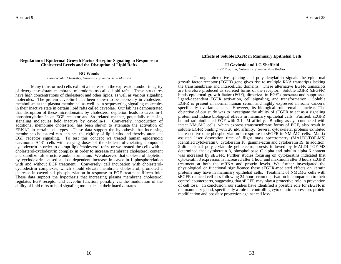#### **Regulation of Epidermal Growth Factor Receptor Signaling in Response to Cholesterol Levels and the Disruption of Lipid Rafts**

#### **BG Woods**

*Biomolecular Chemistry, University of Wisconsin – Madison*

Many transformed cells exhibit a decrease in the expression and/or integrity of detergent-resistant membrane microdomains called lipid rafts. These structures have high concentrations of cholesterol and other lipids, as well as various signaling molecules. The protein caveolin-1 has been shown to be necessary in cholesterol metabolism at the plasma membrane, as well as in sequestering signaling molecules in their inactive state in certain lipid rafts called caveolae. Our lab has demonstrated that disruption of these microdomains by cholesterol depletion leads to caveolin-1 phosphorylation in an EGF receptor and Src-related manner, potentially releasing signaling molecules held inactive by caveolin-1. Conversely, introduction of additional membrane cholesterol has been shown to attenuate the activation of ERK1/2 in certain cell types. These data support the hypothesis that increasing membrane cholesterol can enhance the rigidity of lipid rafts and thereby attenuate EGF receptor signaling. To test this concept we treated human epidermoid carcinoma A431 cells with varying doses of the cholesterol-chelating compound cyclodextrin in order to disrupt lipid/cholesterol rafts, or we treated the cells with a cholesterol-cyclodextrin complex in order to increase membrane cholesterol content and stabilize raft structure and/or formation. We observed that cholesterol depletion by cyclodextrin caused a dose-dependent increase in caveolin-1 phosphorylation with and without EGF treatment. Conversely, cell incubation with cholesterolcyclodextrin complexes, which should elevate membrane cholesterol, promoted a decrease in caveolin-1 phosphorylation in response to EGF treatment fifteen fold. These data support the hypothesis that increasing plasma membrane cholesterol regulates EGF receptor and caveolin function, possibly via the modulation of the ability of lipid rafts to hold signaling molecules in their inactive states.

#### **Effects of Soluble EGFR in Mammary Epithelial Cells**

#### **JJ Gavinski and LG Sheffield**

*ERP Program, University of Wisconsin - Madison*

Through alternative splicing and polyadenylation signals the epidermal growth factor receptor (EGFR) gene gives rise to multiple RNA transcripts lacking the transmembrane and intracellular domains. These alternative EGFR transcripts are therefore produced as secreted forms of the receptor. Soluble EGFR (sEGFR) binds epidermal growth factor (EGF), dimerizes in EGF's presence and suppresses ligand-dependent EGFR activation, cell signaling, and transformation. Soluble EGFR is present in normal human serum and highly expressed in some cancers, specifically ovarian cancer. However, its biological role remains unclear. The objective of our study was to investigate the ability of sEGFR to act as a signaling protein and induce biological effects in mammary epithelial cells. Purified, sEGFR bound radioiodinated EGF with 3.1 nM affinity. Binding assays conducted with intact NMuMG cells, which express transmembrane forms of EGF, also result in soluble EGFR binding with 20 nM affinity. Several cytoskeletal proteins exhibited increased tyrosine phosphorylation in response to sEGFR in NMuMG cells. Matrix assisted laser desorption time of flight mass spectrometry (MALDI-TOF-MS) identified cytokeratin 8, cytokeratin 18, gamma-actin and cytokeratin 19. In addition, 2-dimensional polyacrylamide gel electrophoresis followed by MALDI-TOF-MS determined that cytokeratin 8, phospholipase C alpha and tubulin alpha 6 content was increased by sEGFR. Further studies focusing on cytokeratins indicated that cytokeratin 8 expression is increased after 1 hour and maximum after 3 hours sEGFR treatment at both the mRNA and protein levels. We further investigated the physiological or functional significance these sEGFR-mediated effects on keratin proteins may have in mammary epithelial cells. Treatment of NMuMG cells with sEGFR reduced cell loss following 24 hour serum deprivation in comparison to their control counterparts, suggesting that sEGFR may play a protective role in prevention of cell loss. In conclusion, our studies have identified a possible role for sEGFR in the mammary gland, specifically a role in controlling cytokeratin expression, protein modification and possibly protection against cell loss.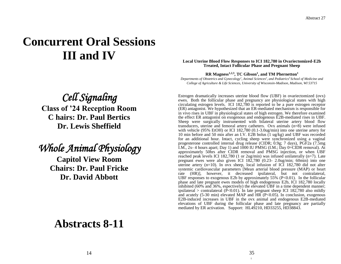# **Concurrent Oral Sessions III and IV**

## *Cell Signaling*

**Class of '24 Reception Room C hairs: Dr. Paul Bertics Dr. Lewis Sheffield**

## *Whole Animal Physiology*

**Capitol View Room Chairs: Dr. Paul Fricke Dr. David Abbott**

### **Local Uterine Blood Flow Responses to ICI 182,780 in Ovariectomized-E2b Treated, Intact Follicular Phase and Pregnant Sheep**

**RR Magness1,2,3, TC Gibson<sup>1</sup> , and TM Phernetton<sup>1</sup>**

*Departments of Obstetrics and Gynecology<sup>1</sup> , Animal Sciences<sup>2</sup> , and Pediatrics<sup>3</sup>School of Medicine and College of Agriculture & Life Sciences, University of Wisconsin-Madison, Madison, WI 53715*

Estrogen dramatically increases uterine blood flow (UBF) in ovariectomized (ovx) ewes. Both the follicular phase and pregnancy are physiological states with high circulating estrogen levels. ICI 182,780 is reported to be a pure estrogen receptor (ER) antagonist. We hypothesized that an ER-mediated mechanism is responsible for in vivo rises in UBF in physiological states of high estrogen. We therefore examined the effect ER antagonist on exogenous and endogenous E2B-mediated rises in UBF. Sheep were surgically instrumented with bilateral uterine artery blood flow transducers, uterine and femoral artery catheters. Ovx animals (n=8) were infused with vehicle (95% EtOH) or ICI 182,780 (0.1-3.0ug/min) into one uterine artery for 10 min before and 50 min after an I.V. E2B bolus (1 ug/kg) and UBF was recorded for an additional hour. Intact, cycling sheep were synchronized using a vaginal progesterone controlled internal drug release (CIDR; 0.9g; 7 days), PGF2a (7.5mg I.M.,  $2x-4$  hours apart; Day 1) and  $1000$  IU PMSG (I.M.; Day 0=CIDR removal). At approximately 50hrs after CIDR removal and PMSG injection, or when UBF reached peak levels ICI 182,780 (1 or 2ug/min) was infused unilaterally (n=7). Late pregnant ewes were also given ICI 182,780 (0.23- 2.0ug/min; 60min) into one uterine artery  $(n=10)$ . In ovx sheep, local infusion of ICI 182,780 did not alter systemic cardiovascular parameters [Mean arterial blood pressure (MAP) or heart rate (HR)], however, it decreased ipsilateral, but not contralateral, UBF responses to exogenous E2b by approximately  $55\%$  (P $< 0.01$ ). In the follicular phase and late pregnant ewes models of high endogenous E2b, ICI 182,780 locally inhibited (60% and 36%, espectively) the elevated UBF in a time dependent manner; ipsilateral  $>$  contralateral (P<0.01). In late pregnant sheep ICI 182,780 also mildly and acutely (5-30 min) elevated MAP and HR (P<0.05). In conclusion, exogenous E2B-induced increases in UBF in the ovx animal and endogenous E2B-mediated elevations of UBF during the follicular phase and late pregnancy are partially mediated by ER activation. Support: HL49210, HD33255, HD38843.

## **Abstracts 8-11**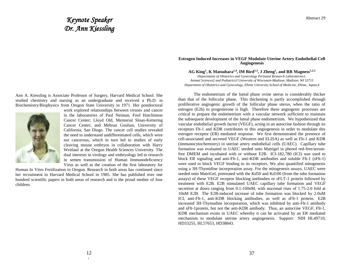## *Keynote Speaker Dr. Ann Kiessling*

Ann A. Kiessling is Associate Professor of Surgery, Harvard Medical School. She studied chemistry and nursing as an undergraduate and received a Ph.D. in Biochemistry/Biophysics from Oregon State University in 1971. Her postdoctoral



work explored relationships between viruses and cancer in the laboratories of Paul Neiman, Fred Hutchinson Cancer Center; Lloyd Old, Memorial Sloan-Kettering Cancer Center; and Mehran Goulian, University of California, San Diego. The cancer cell studies revealed the need to understand undifferentiated cells, which were not cancerous, which in turn led to studies of early cleaving mouse embryos in collaboration with Harry Weitlauf at the Oregon Health Sciences University. The dual interests in virology and embryology led to research in semen transmission of Human Immunodeficiency Virus as well as the creation of the first laboratory for

Human In Vitro Fertilization in Oregon. Research in both areas has continued since her recruitment to Harvard Medical School in 1985. She has published over one hundred scientific papers in both areas of research and is the proud mother of four children.

#### **Estrogen Induced Increases in VEGF Modulate Uterine Artery Endothelial Cell Angiogenesis**

**AG King<sup>1</sup> , K Matsubara1,4, IM Bird1,3, J Zheng<sup>1</sup> , and RR Magness1,2,3**

*Departments of Obstetrics and Gynecology Perinatal Research Laboratories1, Animal Sciences2 and Pediatrics3 University of Wisconsin-Madison, Madison, WI 53715 Department of Obstetrics and Gynecology, Ehime University School of Medicine, Ehime, Japan,4*

The endometrium of the luteal phase ovine uterus is considerably thicker than that of the follicular phase. This thickening is partly accomplished through proliferative angiogenic growth of the follicular phase uterus, when the ratio of estrogen (E2b) to progesterone is high. Therefore these angiogenic processes are critical to prepare the endometrium with a vascular network sufficient to maintain the subsequent development of the luteal phase endometrium. We hypothesized that vascular endothelial growth factor (VEGF), acting in an autocrine fashion through its receptors Flt-1 and KDR contributes to this angiogenesis in order to modulate this estrogen receptor (ER) mediated response. We first demonstrated the presence of cell-associated and secreted VEGF (Western and ELISA) as well as Flt-1 and KDR (immunocytochemistry) in uterine artery endothelial cells (UAEC). Capillary tube formation was evaluated in UAEC seeded onto Matrigel in phenol red-free/serumfree DMEM and incubated with or without E2B. ICI-182,780 (ICI) was used to block ER signaling and anti-Flt-1, anti-KDR antibodies and soluble Flt-1 (sFlt-1) were used to block VEGF binding to its receptors. We also quantified mitogenesis using a 3H-Thymidine incorporation assay. For the mitogenesis assays, UAEC were seeded onto MatriGel, pretreated with the Kd50 and Kd100 (from the tube formation assays) of these VEGF receptor blocking antibodies or sFLT-1 protein followed by treatment with E2B. E2B stimulated UAEC capillary tube formation and VEGF secretion at doses ranging from 0.1-100nM, with maximal rises of 1.75-2.0 fold at 10nM E2B. The E2B-induced increase of tube formation was blocked by 2.0uM ICI, anti-Flt-1, anti-KDR blocking antibodies, as well as sFlt-1 protein. E2B increased 3H-Thymadine incorporation, which was inhibited by anti-Flt-1 antibody and sFlt-1protein, but not the anti-KDR antibody. Thus, an autocrine VEGF, Flt-1, KDR mechanism exists in UAEC whereby it can be activated by an ER mediated mechanism to modulate uterine artery angiogenesis. Support: NIH HL49710, HD33255, HL57653, HD38843.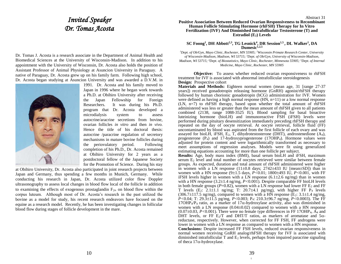### *Invited Speaker Dr. Tomas Acosta*

Dr. Tomas J. Acosta is a research associate in the Department of Animal Health and Biomedical Sciences at the University of Wisconsin-Madison. In addition to his appointment with the University of Wisconsin, Dr. Acosta also holds the position of Assistant Professor of Animal Physiology at Asuncion University in Paraguay. A native of Paraguay, Dr. Acosta grew up on his family farm. Following high school, Dr. Acosta began studying at Asuncion University and was awarded a D.V.M. in



1991. Dr. Acosta and his family moved to Japan in 1996 where he began work towards a Ph.D. at Obihiro University after receiving the Japan Fellowship for Foreign Researchers. It was during his Ph.D. program that Dr. Acosta developed a microdialysis system to assess autocrine/aracrine secretions from bovine, ovarian follicles *in vitro* and then *in vivo.*  Hence the title of his doctoral thesis: autocrine /paracrine regulation of secretory mechanisms in mature bovine follicles during the periovulatory period. Following completion of his Ph.D., Dr. Acosta remained at Obihiro University for 2 years as a postdoctoral fellow of the Japanese Society for the Promotion of Science. During his stay

at Obihiro University, Dr. Acosta also participated in joint research projects between Japan and Germany, thus spending a few months in Munich, Germany. While conducting his research in Japan, Dr. Acosta utilized color flow Doppler ultrasonography to assess local changes in blood flow local of the follicle in addition to examining the effects of exogenous prostaglandin  $F_{2\alpha}$  on blood flow within the corpus luteum. Although most of Dr. Acosta's research in the past utilized the bovine as a model for study, his recent research endeavors have focused on the equine as a research model. Recently, he has been investigating changes in follicular blood flow during stages of follicle development in the mare.

#### **Positive Association Between Reduced Ovarian Responsiveness to Recombinant Human Follicle Stimulating Hormone (rhFSH) Therapy for In Vitro Fertilization (IVF) And Diminished Intrafollicular Testosterone (T) and Estradiol (E2) Levels**

**SC Foong<sup>1</sup> , DH Abbott2,3, TG Lesnick<sup>4</sup> , DR Session1,5 , DL Walker<sup>1</sup> , DA Dumesic1,2,5**

*<sup>1</sup>Dept. of Ob/Gyn, Mayo Clinic, Rochester, MN 55905; <sup>2</sup>Wisconsin Primate Research Center, University of Wisconsin-Madison, Madison, WI 53715; <sup>3</sup>Dept. of Ob/Gyn, University of Wisconsin-Madison, Madison, WI 53715; <sup>4</sup>Dept. of Biostatistics, Mayo Clinic, Rochester, Minnesota 55905; <sup>5</sup>Dept. of Internal Medicine, Mayo Clinic, Rochester, MN 55905*

**Objective:** To assess whether reduced ovarian responsiveness to rhFSH treatment for IVF is associated with abnormal intrafollicular steroidogenesis **Design:** Prospective cohort

**Materials and Methods:** Eighteen normal women (mean age, 31 [range 27-37 years]) received gonadotropin releasing hormone (GnRH) agonist/rhFSH therapy followed by human chorionic gonadotropin (hCG) administration for IVF. Women were defined as having a high normal response  $(HN, n=11)$  or a low normal response (LN, n=7) to rhFSH therapy, based upon whether the total amount of rhFSH administered was less or greater than the mean amount of rhFSH given to all patients combined (2138, range 1088-3525 IU). Blood sampling for basal bioactive luteinizing hormone (bioLH) and immunoreactive FSH (iFSH) levels were performed during pituitary desensitization immediately preceding rhFSH therapy and repeated on the day of oocyte retrieval. At oocyte retrieval, follicle fluid (FF) uncontaminated by blood was aspirated from the first follicle of each ovary and was assayed for bioLH, iFSH,  $E_2$ , T, dihydrotestosterone (DHT), androstenedione  $(A_4)$ , progesterone  $(P_4)$  and 17-hydroxyprogesterone (17OHP<sub>4</sub>). Hormone values were adjusted for protein content and were logarithmically transformed as necessary to meet assumptions of regression analyses. Models were fit using generalized estimating equations accounting for more than one follicle per subject.

**Results:** Age, body mass index (BMI), basal serum bioLH and iFSH, maximum serum  $E_2$  level and total number of oocytes retrieved were similar between female groups. As expected, duration and total amount of rhFSH administered were higher in women with a LN response  $(11\pm0.8$  days;  $2742\pm433$  IU [mean $\pm$ SD]) than in women with a HN response  $(9\pm 1.5$  days,  $P < 0.01$ ; 1800 $\pm 493$  IU,  $P < 0.001$ , with FF iFSH levels higher in women with a LN response  $(6.1 \pm 2.6 \text{ ng/mg})$  than in women with a HN response  $(3.2\pm1.4 \text{ ng/mg}, P<0.001)$ . Despite comparable FF bioLH levels in both female groups ( $P=0.82$ ), women with a LN response had lower FF  $E_2$  and FF T levels  $(E_2: 2.1 \pm 1.1 \text{ ng/mg}$ ; T: 20.7 $\pm 4.1 \text{ pg/mg}$ , with higher FF P<sub>4</sub> levels  $(306.7\pm117.5 \text{ ng/mg})$ , compared to women with a HN response  $(E_2: 3.1\pm1.4 \text{ ng/mg})$ *P<*0.04; T: 29.311.5 pg/mg, *P<*0.003; P4: 210.396.7 ng/mg, *P<*0.0003). The FF  $17OHP_4/P_4$  ratio, as a marker of  $17\alpha$ -hydroxylase activity, also was diminished in women with a LN response  $(0.04\pm0.02)$  compared to women with a HN response  $(0.07\pm0.03, P<0.001)$ . There were no female type differences in FF 17OHP<sub>4</sub>,  $\overline{A}_4$  and DHT levels, or FF  $E_2/T$  and DHT/T ratios, as markers of aromatase and  $5\alpha$ reductase, respectively. However, when corrected for FF FSH, FF androgens were lower in women with a LN response as compared to women with a HN response. **Conclusions:** Despite increased FF FSH levels, reduced ovarian responsiveness in

normal women receiving GnRH analog/rhFSH therapy for IVF is associated with diminished intrafollicular T and  $E_2$  levels, perhaps from impaired paracrine signaling of theca  $17\alpha$ -hydroxylase.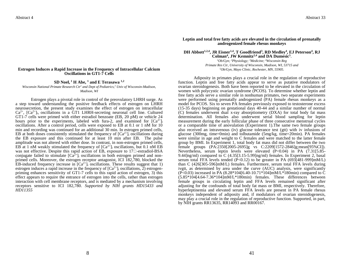#### **Estrogen Induces a Rapid Increase in the Frequency of Intracellular Calcium Oscillations in GT1-7 Cells**

#### SD Noel,  $^1$  **H** Abe,  $^1$  and **E** Terasawa<sup> $1,2$ </sup>

*Wisconsin National Primate Research Ctr<sup>1</sup> and Dept of Pediatrics,<sup>2</sup> Univ of Wisconsin-Madison, Madison, WI*

Estrogen plays a pivotal role in control of the preovulatory LHRH surge. As a step toward understanding the positive feedback effects of estrogen on LHRH neurosecretion, the present study examines the effect of estrogen on intracellular  $Ca^{2+}$ ,  $[Ca^{2+}]$ , oscillations in a GT1 LHRH-secreting neuronal cell line. Cultured GT1-7 cells were primed with either estradiol benzoate (EB, 20 pM) or vehicle 24 hours prior to the experiments, labeled with fura-2, and examined for  $[Ca^{2+}]$ oscillations. After a control period, cells were exposed to EB at 0.1 or 1 nM for 10 min and recording was continued for an additional 30 min. In estrogen primed cells, EB at both doses consistently stimulated the frequency of  $[Ca^{2+}]$  oscillations during the EB exposure and this continued for at least 10 min after EB. The pulse amplitude was not altered with either dose. In contrast, in non-estrogen primed cells, EB at 1 nM weakly stimulated the frequency of  $[Ca^{2+}]$  oscillations, but 0.1 nM EB was not effective. Despite this rapid action of EB, exposure to  $17\Box$ -estradiol-BSA conjugate failed to stimulate  $[Ca^{2+}]}$  oscillations in both estrogen primed and nonprimed cells. Moreover, the estrogen receptor antagonist, ICI 182,780, blocked the EB-induced frequency increase in  $[Ca^{2+}]}$  oscillations. These results suggest that 1) estrogen induces a rapid increase in the frequency of  $[Ca^{2+}]$  oscillations, 2) estrogenpriming enhances sensitivity of GT1-7 cells to this rapid action of estrogen, 3) this effect appears to require the entrance of estrogen into the cells, rather than estrogen interaction with cell membrane receptors, and is mediated by a mechanism involving receptors sensitive to ICI 182,780. *Supported by NIH grants HD15433 and HD11355*

#### **Leptin and total free fatty acids are elevated in the circulation of prenatally androgenized female rhesus monkeys**

**DH Abbott1,2,4, JR Eisner1,4, T Goodfriend<sup>3</sup> , RD Medley<sup>4</sup> , EJ Peterson<sup>4</sup> , RJ Colman<sup>4</sup> , JW Kemnitz2,4 and DA Dumesic<sup>5</sup>** .

*<sup>1</sup>Ob/Gyn; <sup>2</sup>Physiology; <sup>3</sup>Medicine; <sup>4</sup>Wisconsin Reg Primate Res Ctr, University of Wisconsin, Madison, WI, 53715 and <sup>5</sup>Ob/Gyn, Mayo Clinic, Rochester, MN, 55905.*

Adiposity in primates plays a crucial role in the regulation of reproductive function. Leptin and free fatty acids appear to serve as putative modulators of ovarian steroidogenesis. Both have been reported to be elevated in the circulation of women with polycystic ovarian syndrome (PCOS). To determine whether leptin and free fatty acids serve a similar role in nonhuman primates, two separate experiments were performed using prenatally androgenized (PA) female rhesus monkeys as a model for PCOS. Six to seven PA females previously exposed to testosterone excess (15-35 days) beginning on gestational days 40-44 and a similar number of normal (C) females underwent dual x-ray absorptiometry (DXA) for total body fat mass determination. All females also underwent serial blood sampling for leptin measurement during the early follicular phase of three consecutive menstrual cycles or a comparable time of anovulation (Experiment 1).The same two female groups also received an intravenous (iv) glucose tolerance test (gtt) with iv infusions of glucose (300mg, time=0min) and tolbutamide (5mg/kg, time=20min). PA females were similar in age and weight to C females and were matched to the latter female group by BMI. In Experiment 1, total body fat mass did not differ between the two female groups (PA:2350[2005-2695]g vs C:2209[1572-2846]g;mean[95%CI]). Nevertheless, serum leptin levels were elevated (P<0.04) in PA (7.31[5.85- 9.44]ng/ml) compared to C (4.35[3.15-5.99]ng/ml) females. In Experiment 2, basal serum total FFA levels tended  $(P<0.12)$  to be greater in PA  $(693[481-999] \text{m}$ M/L) than C (426[305-596]mM/L) females. Furthermore, serum total FFA levels during ivgtt, as determined by area under the curve (AUC) analysis, were significantly  $(P<0.03)$  increased in PA  $(8.28*104[6.40-10.71*104] \text{m} \text{m} / L*180 \text{min})$  compared to C (5.85\*104[4.64-7.36\*104]mM/L\*180min) females. These differences between female groups in circulating leptin and FFA levels remained significant after adjusting for the confounds of total body fat mass or BMI, respectively. Therefore, hyperleptinemia and elevated serum FFA levels are present in PA female rhesus monkeys independent of adiposity and, if modulators of ovarian steroidogenesis, may play a crucial role in the regulation of reproductive function. Supported, in part, by NIH grants RR13635, RR14093 and RR00167.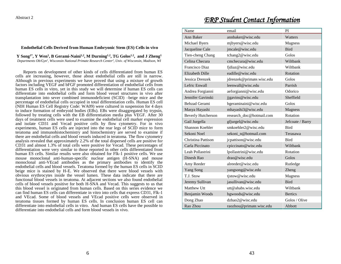Abstract 2

#### **Endothelial Cells Derived from Human Embryonic Stem (ES) Cells in vivo**

**Y Song1\*, Y Wen<sup>1</sup> , B Gerami-Naini1,2, M Durning1.2, TG Golos1.2, and J Zheng<sup>1</sup>** *Departments Ob/Gyn<sup>1</sup> , Wisconsin National Primate Research Center<sup>2</sup> , Univ. of Wisconsin, Madison, WI* 

Reports on development of other kinds of cells differentiated from human ES cells are increasing, however, those about endothelial cells are still in narrow. Although in previous experiments we have proved that using a mixture of growth factors including VEGF and bFGF promoted differentiation of endothelial cells from human ES cells in vitro, yet in this study we will determine if human ES cells can differentiate into endothelial cells and form blood vessel structures in vivo after transplantation into sever combined immunodeficient (SCID) –beige mice and the percentage of endothelial cells occupied in total differentiation cells. Human ES cell (NIH Human ES Cell Registry Code: WA09) were cultured in suspension for 4 days to induce formation of embryoid bodies (EBs). EBs were disaggregated by trypsin, followed by treating cells with the EB differentiation media plus VEGF. After 30 days of treatment cells were used to examine the endothelial cell marker expression and isolate CD31 and Vecad positive cells by flow cytometry. For in vivo experiments, human ES cells are injected into the rear legs of SCID mice to form teratoma and immunohistochemistry and histochemistry are served to examine if there are endothelial cells and blood vessels induced in teratoma. The flow cytometry analysis revealed that approximately 2.2% of the total dispersed cells are positive for CD31 and almost 1.3% of total cells were positive for Vecad. These percentages of differentiation were very similar to those reported in other cells differentiated from human ES cells. Similar results were also obtained for Flk-1 positive cells. We use mouse monoclonal anti-human-specific nuclear antigen (H-SNA) and mouse monoclonal anti-VEcad antibodies as the primary antibodies to identify the endothelial cells and blood vessels. Teratoma formed by the human ES cells in SCID beige mice is stained by H-E. We observed that there were blood vessels with obvious erythrocytes inside the vessel lumen. These data indicate that there are functional blood vessels in teratoma. At adjacent sections we also found endothelial cells of blood vessels positive for both H-SNA and Vecad. This suggests to us that this blood vessel is originated from human cells. Based on this series evidence we can find human ES cells can differentiate in vitro into cells that express CD31, Flk-1 and VEcad. Some of blood vessels and VEcad positive cells were observed in teratoma tissues formed by human ES cells. In conclusion human ES cell can differentiate into endothelial cells in vitro. And human ES cells have the possible to differentiate into endothelial cells and form blood vessels in vivo.

### *ERP Student Contact Information*

| Name                      | email                     | PI               |
|---------------------------|---------------------------|------------------|
| <b>Ann Baker</b>          | annbaker@wisc.edu         | Watters          |
| Michael Byers             | mjbyers@wisc.edu          | <b>Magness</b>   |
| Jacqueline Cale           | jmcale@wisc.edu           | <b>Bird</b>      |
| Tien-cheng Chang          | tchang2@wisc.edu          | Golos            |
| Celina Checura            | $c$ mchecura@wisc.edu     | Wiltbank         |
| Francisco Diaz            | fjdiaz@wisc.edu           | Wiltbank         |
| <b>Elizabeth Dille</b>    | eadille@wisc.edu          | Rotation         |
| Jessica Drenzek           | jdrenzek@primate.wisc.edu | Golos            |
| Lefric Enwall             | leenwall@wise.edu         | Parrish          |
| Andrea Forgianni          | aeforgianni@wisc.edu      | Odorico          |
| Jennifer Gavinski         | jjgavins@wisc.edu         | Sheffield        |
| <b>Behzad Gerami</b>      | bgeraminaini@wisc.edu     | Golos            |
| Masya Hayashi             | mhayashi3@wisc.edu        | <b>Magness</b>   |
| <b>Beverly Hutcherson</b> | research_doc@hotmail.com  | Rotation         |
| Gail Jurgella             | gfjurgel@wisc.edu         | Jefcoate / Barry |
| Shannon Koehler           | smkoehler2@wisc.edu       | <b>Bird</b>      |
| Sekoni Noel               | sekoni n@hotmail.com      | Terasawa         |
| Christina Pattison        | jcpattison@wisc.edu       | <b>Bird</b>      |
| Carla Piccinato           | cpiccinato@wisc.edu       | Wiltbank         |
| Leah Pollastrini          | lpollastrini@wisc.edu     | Rotation         |
| Dinesh Rao                | drao@wisc.edu             | Golos            |
| Amy Reeder                | alreeder@wisc.edu         | Rutledge         |
| Yang Song                 | yangsong@wisc.edu         | <b>Zheng</b>     |
| T.J. Stow                 | tjstow@wisc.edu           | <b>Magness</b>   |
| Jeremy Sullivan           | jasullivan@wisc.edu       | <b>Bird</b>      |
| Matthew Utt               | utt@ahabs.wisc.edu        | Wiltbank         |
| Benjamin Woods            | bgwoods@wisc.edu          | <b>Bertics</b>   |
| Dong Zhao                 | dzhao2@wisc.edu           | Golos / Olive    |
| Rao Zhou                  | raozhou@primate.wisc.edu  | Abbott           |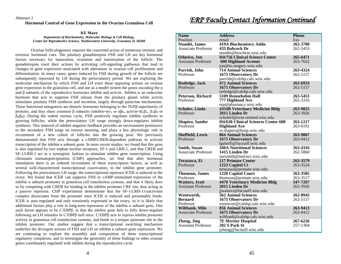#### **Hormonal Control of Gene Expression in the Ovarian Granulosa Cell**

#### **KE Mayo** *Department of Biochemistry, Molecular Biology & Cell Biology, Center for Reproductive Science, Northwestern University, Evanston, IL 60208*

Ovarian folliculogenesis requires the concerted action of numerous intrinsic and extrinsic hormonal cues. The pituitary gonadotropins FSH and LH are key hormonal factors necessary for maturation, ovulation and luteinization of the follicle. The gonadotropins exert their actions by activating cell-signaling pathways that lead to changes in gene expression associated with alterations in ovarian cell proliferation and differentiation. In many cases, genes induced by FSH during growth of the follicle are subsequently repressed by LH during the periovulatory period. We are exploring the molecular mechanism by which FSH and LH exert these opposing actions on ovarian gene expression in the granulosa cell, and use as a model system the genes encoding the  $\alpha$ and β subunits of the reproductive hormones inhibin and activin. Inhibin is an endocrine hormone that acts to suppress FSH release from the pituitary gland, while activin stimulates pituitary FSH synthesis and secretion, largely through paracrine mechanisms. These functional antagonists are dimeric hormones belonging to the TGFβ superfamily of proteins, and they share common β subunits (inhibin=αγ<sub>A</sub> or αβ<sub>B</sub>, activin=β<sub>A</sub>β<sub>A</sub>, β<sub>A</sub>β<sub>B</sub> or  $β_Bβ_B$ ). During the rodent estrous cycle, FSH positively regulates inhibin synthesis in growing follicles, while the preovulatory LH surge strongly down-regulates inhibin synthesis. This removal of inhibin negative feedback provides an environment permissive to the secondary FSH surge on estrous morning, and plays a key physiologic role in recruitment of a new cohort of follicles into the growing pool. We previously demonstrated that FSH acts through a cAMP/CREB-dependent pathway to activate transcription of the inhibin α subunit gene. In more recent studies, we found that this gene is also regulated by two orphan nuclear receptors, SF-1 and LRH-1, and that CREB and SF-1/LRH-1 act in a synergistic fashion to stimulate inhibin gene transcription. Using chromatin immunoprecipitation (ChIP) approaches, we find that after hormonal stimulation there is an ordered recruitment of these transcription factors, as well as several well-characterized transcriptional coactivators, to the inhibin gene promoter. Following the preovulatory LH surge, the transcriptional repressor ICER is induced in the ovary. We found that ICER can suppress FSH or cAMP-stimulated expression of the inhibin  $\alpha$  subunit promoter in granulosa cell transfection systems, and that it likely does so by competing with CREB for binding to the inhibin promoter CRE site, thus acting as a passive repressor. ChIP experiments demonstrate that the SF-1/LRH-1/coactivator complex dissociates from the promoter once ICER is induced and presumably binds. ICER is auto-regulated and only transiently expressed in the ovary, so it is likely that additional factors play a role in long-term repression of the inhibin  $\alpha$  subunit gene. One such factor appears to be C/EBPβ, in that the inhibin gene fails to fully down-regulate following an LH stimulus in C/EBPβ null mice. C/EBPβ acts to repress inhibin promoter activity in granulosa cell transfection systems, and binds to a unique upstream site in the inhibin promoter. Our studies suggest that a transcriptional switching mechanism underlies the divergent actions of FSH and LH on inhibin  $\alpha$  subunit gene expression. We are continuing to explore the assembly and composition of these transcriptional regulatory complexes, and to investigate the generality of these findings to other ovarian genes coordinately regulated with inhibin during the reproductive cycle.

### .*ERP Faculty Contact Information Continued*

| <b>Name</b>                | <b>Address</b>                             | <b>Phone</b> |
|----------------------------|--------------------------------------------|--------------|
| Position                   | email                                      | Fax          |
| Ntambi, James              | <b>419A Biochemistry Addn</b>              | 265-3700     |
| <b>Associate Professor</b> | 433 Babcock Dr                             | 262-3453     |
|                            | ntambi@biochem.wisc.edu                    |              |
| Odorico, Jon               | <b>H4/756 Clinical Science Center</b>      | 265-6471     |
| <b>Assistant Professor</b> | <b>600 Highland Avenue</b>                 | 263-7652     |
|                            |                                            |              |
|                            | jon@tx.surgery.wisc.edu                    |              |
| Parrish, John              | <b>714 Animal Sciences</b>                 | 263-4324     |
| Professor                  | 1675 Observatory Dr                        | 262-5157     |
|                            | parrish@calshp.cals.wisc.edu               |              |
| Rutledge, Jack             | <b>472 Animal Sciences</b>                 | 263-6933     |
| Professor                  | 1675 Observatory Dr                        | 262-5157     |
|                            | rutledge@calshp.cals.wisc.edu              |              |
| Peterson, Richard          | 5109 Rennebohm Hall                        | 263-5453     |
| Professor                  | 777 Highland Ave                           | 265-3316     |
|                            | rep@pharmacy.wisc.edu                      |              |
|                            |                                            | 263-9825     |
| Schuler, Linda             | <b>4354B Veterinary Medicine Bldg</b>      |              |
| Professor                  | 2015 Linden Dr                             | 263-3926     |
|                            | schulerl@svm.vetmed.wisc.edu               |              |
| Shapiro, Sander            | <b>H4/630 Clinical Sciences Center 600</b> | 263-1217     |
| Professor                  | <b>Highland Ave</b>                        | 263-0191     |
|                            | ss.shapiro@hosp.wisc.edu                   |              |
| <b>Sheffield, Lewis</b>    | <b>864 Animal Sciences</b>                 | 263-9867     |
| Professor                  | 1675 Observatory Dr                        | 263-9412     |
|                            | lgsheffi@facstaff.wisc.edu                 |              |
| <b>Smith, Susan</b>        | <b>340A Nutritional Sciences</b>           | 263-4316     |
| Associate Professor        | 1415 Linden Dr                             | 262-5860     |
|                            | suesmith@nutrisci.wisc.edu                 |              |
|                            |                                            |              |
| Terasawa, Ei               | <b>217 Primate Center</b>                  | 263-3579     |
| Professor                  | 1223 Capitol Ct                            | 263-3524     |
|                            | terasawa@primate.wisc.edu                  |              |
| <b>Thomson</b> , James     | 1220 Capitol Court                         | 263-3585     |
| Professor                  | thomson@primate.wisc.edu                   | 263-3517     |
| <b>Watters</b> , Jyoti     | <b>4470 Veterinary Medicine Bldg</b>       | 347-7267     |
| <b>Assistant Professor</b> | 2015 Linden Dr                             | 263-3926     |
|                            | jjwatters@facstaff.wisc.edu                |              |
| Wentworth,                 | 562 Animal Sciences                        | 262-8945     |
| <b>Bernard</b>             |                                            | 262-5157     |
|                            | 1675 Observatory Dr                        |              |
| Professor                  | wentwort@calshp.cals.wisc.edu              |              |
| Wiltbank, Milo             | <b>856 Animal Sciences</b>                 | 263-9413     |
| Associate Professor        | 1675 Observatory Dr                        | 263-9412     |
|                            | wiltbank@calshp.cals.wisc.edu              |              |
| Zheng, Jing                | <b>7E Meriter Hospital</b>                 | 267-6226     |
| <b>Assistant Professor</b> |                                            |              |
|                            | 202 S Park St                              | 257-1304     |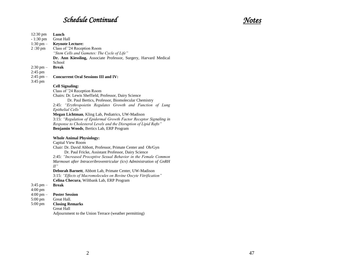## *Schedule Continued*

| $12:30 \text{ pm}$<br>$-1:30$ pm<br>$1:30$ pm $-$ | Lunch<br><b>Great Hall</b><br><b>Keynote Lecture:</b>                                                                                                                       |
|---------------------------------------------------|-----------------------------------------------------------------------------------------------------------------------------------------------------------------------------|
| 2:30 pm                                           | Class of '24 Reception Room<br>"Stem Cells and Gametes: The Cycle of Life"                                                                                                  |
|                                                   | Dr. Ann Kiessling, Associate Professor, Surgery, Harvard Medical                                                                                                            |
| $2:30 \text{ pm} -$                               | School<br><b>Break</b>                                                                                                                                                      |
| 2:45 pm<br>$2:45$ pm $-$<br>3:45 pm               | <b>Concurrent Oral Sessions III and IV:</b>                                                                                                                                 |
|                                                   | <b>Cell Signaling:</b><br>Class of '24 Reception Room                                                                                                                       |
|                                                   | Chairs: Dr. Lewis Sheffield, Professor, Dairy Science<br>Dr. Paul Bertics, Professor, Biomolecular Chemistry<br>2:45: "Erythropoietin Regulates Growth and Function of Lung |
|                                                   | Epithelial Cells"                                                                                                                                                           |
|                                                   | Megan Lichtman, Kling Lab, Pediatrics, UW-Madison<br>3:15: "Regulation of Epidermal Growth Factor Receptor Signaling in                                                     |
|                                                   | Response to Cholesterol Levels and the Disruption of Lipid Rafts"<br>Benjamin Woods, Bertics Lab, ERP Program                                                               |
|                                                   | <b>Whole Animal Physiology:</b>                                                                                                                                             |
|                                                   | Capital View Room<br>Chair: Dr. David Abbott, Professor, Primate Center and Ob/Gyn                                                                                          |
|                                                   | Dr. Paul Fricke, Assistant Professor, Dairy Science                                                                                                                         |
|                                                   | 2:45: "Increased Proceptive Sexual Behavior in the Female Common                                                                                                            |
|                                                   | Marmoset after Intraceribroventricular (icv) Administration of GnRH<br>$II$ "                                                                                               |
|                                                   | Deborah Barnett, Abbott Lab, Primate Center, UW-Madison                                                                                                                     |
|                                                   | 3:15: "Effects of Macromolecules on Bovine Oocyte Vitrification"<br>Celina Checura, Wiltbank Lab, ERP Program                                                               |
| $3:45$ pm $-$                                     | <b>Break</b>                                                                                                                                                                |
| 4:00 pm                                           |                                                                                                                                                                             |
| $4:00 \text{ pm} -$<br>5:00 pm                    | <b>Poster Session</b><br>Great Hall.                                                                                                                                        |
| 5:00 pm                                           | <b>Closing Remarks</b>                                                                                                                                                      |
|                                                   | <b>Great Hall</b>                                                                                                                                                           |
|                                                   | Adjournment to the Union Terrace (weather permitting)                                                                                                                       |

## *Notes*